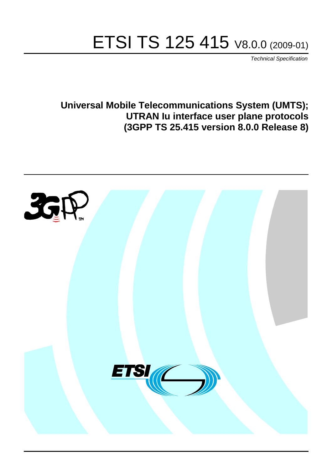# ETSI TS 125 415 V8.0.0 (2009-01)

*Technical Specification*

**Universal Mobile Telecommunications System (UMTS); UTRAN Iu interface user plane protocols (3GPP TS 25.415 version 8.0.0 Release 8)**

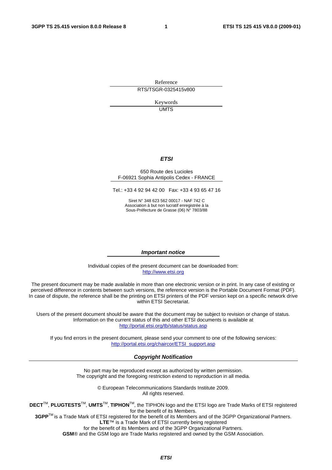Reference RTS/TSGR-0325415v800

> Keywords UMTS

#### *ETSI*

#### 650 Route des Lucioles F-06921 Sophia Antipolis Cedex - FRANCE

Tel.: +33 4 92 94 42 00 Fax: +33 4 93 65 47 16

Siret N° 348 623 562 00017 - NAF 742 C Association à but non lucratif enregistrée à la Sous-Préfecture de Grasse (06) N° 7803/88

#### *Important notice*

Individual copies of the present document can be downloaded from: [http://www.etsi.org](http://www.etsi.org/)

The present document may be made available in more than one electronic version or in print. In any case of existing or perceived difference in contents between such versions, the reference version is the Portable Document Format (PDF). In case of dispute, the reference shall be the printing on ETSI printers of the PDF version kept on a specific network drive within ETSI Secretariat.

Users of the present document should be aware that the document may be subject to revision or change of status. Information on the current status of this and other ETSI documents is available at <http://portal.etsi.org/tb/status/status.asp>

If you find errors in the present document, please send your comment to one of the following services: [http://portal.etsi.org/chaircor/ETSI\\_support.asp](http://portal.etsi.org/chaircor/ETSI_support.asp)

#### *Copyright Notification*

No part may be reproduced except as authorized by written permission. The copyright and the foregoing restriction extend to reproduction in all media.

> © European Telecommunications Standards Institute 2009. All rights reserved.

**DECT**TM, **PLUGTESTS**TM, **UMTS**TM, **TIPHON**TM, the TIPHON logo and the ETSI logo are Trade Marks of ETSI registered for the benefit of its Members.

**3GPP**TM is a Trade Mark of ETSI registered for the benefit of its Members and of the 3GPP Organizational Partners. **LTE**™ is a Trade Mark of ETSI currently being registered

for the benefit of its Members and of the 3GPP Organizational Partners.

**GSM**® and the GSM logo are Trade Marks registered and owned by the GSM Association.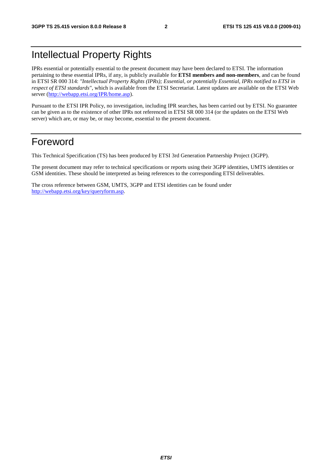# Intellectual Property Rights

IPRs essential or potentially essential to the present document may have been declared to ETSI. The information pertaining to these essential IPRs, if any, is publicly available for **ETSI members and non-members**, and can be found in ETSI SR 000 314: *"Intellectual Property Rights (IPRs); Essential, or potentially Essential, IPRs notified to ETSI in respect of ETSI standards"*, which is available from the ETSI Secretariat. Latest updates are available on the ETSI Web server [\(http://webapp.etsi.org/IPR/home.asp\)](http://webapp.etsi.org/IPR/home.asp).

Pursuant to the ETSI IPR Policy, no investigation, including IPR searches, has been carried out by ETSI. No guarantee can be given as to the existence of other IPRs not referenced in ETSI SR 000 314 (or the updates on the ETSI Web server) which are, or may be, or may become, essential to the present document.

# Foreword

This Technical Specification (TS) has been produced by ETSI 3rd Generation Partnership Project (3GPP).

The present document may refer to technical specifications or reports using their 3GPP identities, UMTS identities or GSM identities. These should be interpreted as being references to the corresponding ETSI deliverables.

The cross reference between GSM, UMTS, 3GPP and ETSI identities can be found under [http://webapp.etsi.org/key/queryform.asp.](http://webapp.etsi.org/key/queryform.asp)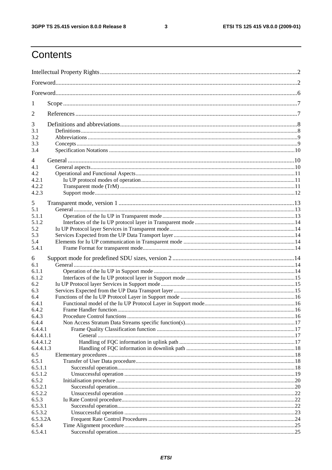$\mathbf{3}$ 

# Contents

| 1                  |  |
|--------------------|--|
| 2                  |  |
| 3                  |  |
| 3.1<br>3.2         |  |
| 3.3                |  |
| 3.4                |  |
| 4                  |  |
| 4.1                |  |
| 4.2                |  |
| 4.2.1              |  |
| 4.2.2              |  |
| 4.2.3              |  |
| 5                  |  |
| 5.1                |  |
| 5.1.1              |  |
| 5.1.2              |  |
| 5.2                |  |
| 5.3                |  |
| 5.4<br>5.4.1       |  |
| 6                  |  |
| 6.1                |  |
| 6.1.1              |  |
| 6.1.2              |  |
| 6.2                |  |
| 6.3                |  |
| 6.4                |  |
| 6.4.1<br>6.4.2     |  |
| 6.4.3              |  |
| 6.4.4              |  |
| 6.4.4.1            |  |
| 6.4.4.1.1          |  |
| 6.4.4.1.2          |  |
| 6.4.4.1.3          |  |
| 6.5                |  |
| 6.5.1              |  |
| 6.5.1.1<br>6.5.1.2 |  |
| 6.5.2              |  |
| 6.5.2.1            |  |
| 6.5.2.2            |  |
| 6.5.3              |  |
|                    |  |
| 6.5.3.1            |  |
| 6.5.3.2            |  |
| 6.5.3.2A           |  |
| 6.5.4<br>6.5.4.1   |  |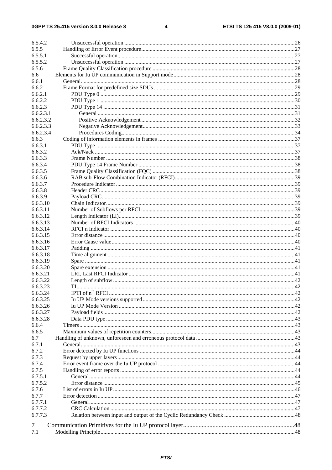#### $\overline{\mathbf{4}}$

| 6.5.4.2   |    |     |
|-----------|----|-----|
| 6.5.5     |    |     |
| 6.5.5.1   |    |     |
| 6.5.5.2   |    |     |
| 6.5.6     |    |     |
| 6.6       |    |     |
| 6.6.1     |    |     |
| 6.6.2     |    |     |
| 6.6.2.1   |    |     |
| 6.6.2.2   |    |     |
| 6.6.2.3   |    |     |
| 6.6.2.3.1 |    |     |
| 6.6.2.3.2 |    |     |
| 6.6.2.3.3 |    |     |
| 6.6.2.3.4 |    |     |
| 6.6.3     |    |     |
|           |    |     |
| 6.6.3.1   |    |     |
| 6.6.3.2   |    |     |
| 6.6.3.3   |    |     |
| 6.6.3.4   |    |     |
| 6.6.3.5   |    |     |
| 6.6.3.6   |    |     |
| 6.6.3.7   |    |     |
| 6.6.3.8   |    |     |
| 6.6.3.9   |    |     |
| 6.6.3.10  |    |     |
| 6.6.3.11  |    |     |
| 6.6.3.12  |    |     |
| 6.6.3.13  |    |     |
| 6.6.3.14  |    |     |
| 6.6.3.15  |    |     |
| 6.6.3.16  |    |     |
| 6.6.3.17  |    |     |
| 6.6.3.18  |    |     |
| 6.6.3.19  |    |     |
| 6.6.3.20  |    |     |
| 6.6.3.21  |    |     |
| 6.6.3.22  |    |     |
| 6.6.3.23  | TI | .42 |
| 6.6.3.24  |    |     |
| 6.6.3.25  |    |     |
| 6.6.3.26  |    |     |
|           |    |     |
| 6.6.3.27  |    |     |
| 6.6.3.28  |    |     |
| 6.6.4     |    |     |
| 6.6.5     |    |     |
| 6.7       |    |     |
| 6.7.1     |    |     |
| 6.7.2     |    |     |
| 6.7.3     |    |     |
| 6.7.4     |    |     |
| 6.7.5     |    |     |
| 6.7.5.1   |    |     |
| 6.7.5.2   |    |     |
| 6.7.6     |    |     |
| 6.7.7     |    |     |
| 6.7.7.1   |    |     |
| 6.7.7.2   |    |     |
| 6.7.7.3   |    |     |
|           |    |     |
| 7         |    |     |
| 7.1       |    |     |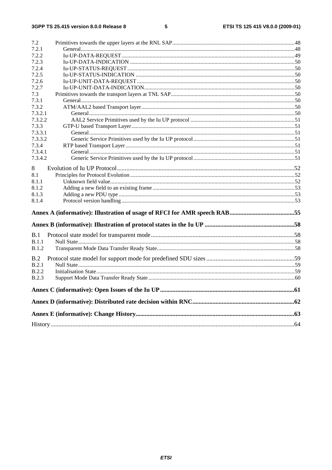| 7.2.1<br>7.2.2<br>7.2.3<br>7.2.4<br>7.2.5<br>7.2.6<br>7.2.7<br>7.3<br>7.3.1<br>7.3.2<br>7.3.2.1<br>7.3.2.2<br>7.3.3<br>7.3.3.1<br>7.3.3.2<br>7.3.4<br>7.3.4.1<br>7.3.4.2<br>8<br>8.1<br>8.1.1<br>8.1.2<br>8.1.3<br>8.1.4<br>B.1<br>B.1.1<br>B.1.2<br>B.2<br>B.2.1<br><b>B.2.2</b><br><b>B.2.3</b> | 7.2 |  |
|---------------------------------------------------------------------------------------------------------------------------------------------------------------------------------------------------------------------------------------------------------------------------------------------------|-----|--|
|                                                                                                                                                                                                                                                                                                   |     |  |
|                                                                                                                                                                                                                                                                                                   |     |  |
|                                                                                                                                                                                                                                                                                                   |     |  |
|                                                                                                                                                                                                                                                                                                   |     |  |
|                                                                                                                                                                                                                                                                                                   |     |  |
|                                                                                                                                                                                                                                                                                                   |     |  |
|                                                                                                                                                                                                                                                                                                   |     |  |
|                                                                                                                                                                                                                                                                                                   |     |  |
|                                                                                                                                                                                                                                                                                                   |     |  |
|                                                                                                                                                                                                                                                                                                   |     |  |
|                                                                                                                                                                                                                                                                                                   |     |  |
|                                                                                                                                                                                                                                                                                                   |     |  |
|                                                                                                                                                                                                                                                                                                   |     |  |
|                                                                                                                                                                                                                                                                                                   |     |  |
|                                                                                                                                                                                                                                                                                                   |     |  |
|                                                                                                                                                                                                                                                                                                   |     |  |
|                                                                                                                                                                                                                                                                                                   |     |  |
|                                                                                                                                                                                                                                                                                                   |     |  |
|                                                                                                                                                                                                                                                                                                   |     |  |
|                                                                                                                                                                                                                                                                                                   |     |  |
|                                                                                                                                                                                                                                                                                                   |     |  |
|                                                                                                                                                                                                                                                                                                   |     |  |
|                                                                                                                                                                                                                                                                                                   |     |  |
|                                                                                                                                                                                                                                                                                                   |     |  |
|                                                                                                                                                                                                                                                                                                   |     |  |
|                                                                                                                                                                                                                                                                                                   |     |  |
|                                                                                                                                                                                                                                                                                                   |     |  |
|                                                                                                                                                                                                                                                                                                   |     |  |
|                                                                                                                                                                                                                                                                                                   |     |  |
|                                                                                                                                                                                                                                                                                                   |     |  |
|                                                                                                                                                                                                                                                                                                   |     |  |
|                                                                                                                                                                                                                                                                                                   |     |  |
|                                                                                                                                                                                                                                                                                                   |     |  |
|                                                                                                                                                                                                                                                                                                   |     |  |
|                                                                                                                                                                                                                                                                                                   |     |  |
|                                                                                                                                                                                                                                                                                                   |     |  |
|                                                                                                                                                                                                                                                                                                   |     |  |
|                                                                                                                                                                                                                                                                                                   |     |  |
|                                                                                                                                                                                                                                                                                                   |     |  |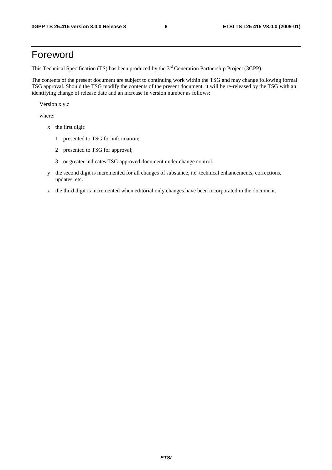# Foreword

This Technical Specification (TS) has been produced by the 3<sup>rd</sup> Generation Partnership Project (3GPP).

The contents of the present document are subject to continuing work within the TSG and may change following formal TSG approval. Should the TSG modify the contents of the present document, it will be re-released by the TSG with an identifying change of release date and an increase in version number as follows:

Version x.y.z

where:

- x the first digit:
	- 1 presented to TSG for information;
	- 2 presented to TSG for approval;
	- 3 or greater indicates TSG approved document under change control.
- y the second digit is incremented for all changes of substance, i.e. technical enhancements, corrections, updates, etc.
- z the third digit is incremented when editorial only changes have been incorporated in the document.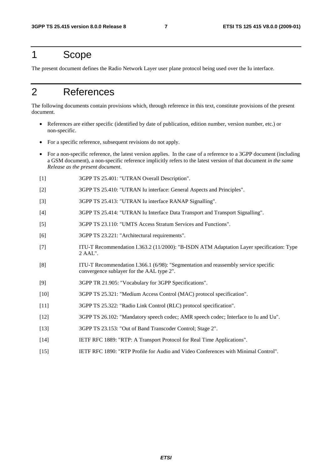# 1 Scope

The present document defines the Radio Network Layer user plane protocol being used over the Iu interface.

# 2 References

The following documents contain provisions which, through reference in this text, constitute provisions of the present document.

- References are either specific (identified by date of publication, edition number, version number, etc.) or non-specific.
- For a specific reference, subsequent revisions do not apply.
- For a non-specific reference, the latest version applies. In the case of a reference to a 3GPP document (including a GSM document), a non-specific reference implicitly refers to the latest version of that document *in the same Release as the present document*.
- [1] 3GPP TS 25.401: "UTRAN Overall Description".
- [2] 3GPP TS 25.410: "UTRAN Iu interface: General Aspects and Principles".
- [3] 3GPP TS 25.413: "UTRAN Iu interface RANAP Signalling".
- [4] 3GPP TS 25.414: "UTRAN Iu Interface Data Transport and Transport Signalling".
- [5] 3GPP TS 23.110: "UMTS Access Stratum Services and Functions".
- [6] 3GPP TS 23.221: "Architectural requirements".
- [7] ITU-T Recommendation I.363.2 (11/2000): "B-ISDN ATM Adaptation Layer specification: Type 2 AAL".
- [8] ITU-T Recommendation I.366.1 (6/98): "Segmentation and reassembly service specific convergence sublayer for the AAL type 2".
- [9] 3GPP TR 21.905: "Vocabulary for 3GPP Specifications".
- [10] 3GPP TS 25.321: "Medium Access Control (MAC) protocol specification".
- [11] 3GPP TS 25.322: "Radio Link Control (RLC) protocol specification".
- [12] 3GPP TS 26.102: "Mandatory speech codec; AMR speech codec; Interface to Iu and Uu".
- [13] 3GPP TS 23.153: "Out of Band Transcoder Control; Stage 2".
- [14] IETF RFC 1889: "RTP: A Transport Protocol for Real Time Applications".
- [15] IETF RFC 1890: "RTP Profile for Audio and Video Conferences with Minimal Control".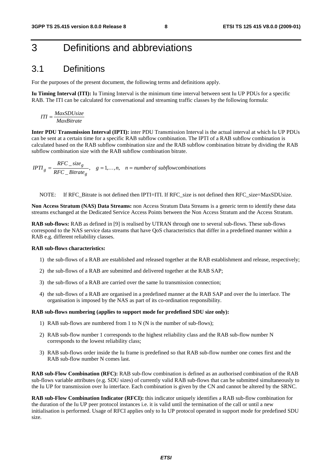# 3 Definitions and abbreviations

# 3.1 Definitions

For the purposes of the present document, the following terms and definitions apply.

**Iu Timing Interval (ITI):** Iu Timing Interval is the minimum time interval between sent Iu UP PDUs for a specific RAB. The ITI can be calculated for conversational and streaming traffic classes by the following formula:

*MaxBitrate MaxSDUsize ITI* <sup>=</sup>

**Inter PDU Transmission Interval (IPTI):** inter PDU Transmission Interval is the actual interval at which Iu UP PDUs can be sent at a certain time for a specific RAB subflow combination. The IPTI of a RAB subflow combination is calculated based on the RAB subflow combination size and the RAB subflow combination bitrate by dividing the RAB subflow combination size with the RAB subflow combination bitrate.

 $\frac{a}{RFC\_Bitrate_{\varrho}}$ ,  $g = 1,...,n$ ,  $n = number of subflow combinations$ *RFC size IPTI g*  $g = \frac{RFC\_size_g}{RFC\_Bitrate_g}, \quad g = 1, ..., n, \quad n =$  $\ddots$ 

NOTE: If RFC Bitrate is not defined then IPTI=ITI. If RFC size is not defined then RFC size=MaxSDUsize.

**Non Access Stratum (NAS) Data Streams:** non Access Stratum Data Streams is a generic term to identify these data streams exchanged at the Dedicated Service Access Points between the Non Access Stratum and the Access Stratum.

**RAB sub-flows:** RAB as defined in [9] is realised by UTRAN through one to several sub-flows. These sub-flows correspond to the NAS service data streams that have QoS characteristics that differ in a predefined manner within a RAB e.g. different reliability classes.

#### **RAB sub-flows characteristics:**

- 1) the sub-flows of a RAB are established and released together at the RAB establishment and release, respectively;
- 2) the sub-flows of a RAB are submitted and delivered together at the RAB SAP;
- 3) the sub-flows of a RAB are carried over the same Iu transmission connection;
- 4) the sub-flows of a RAB are organised in a predefined manner at the RAB SAP and over the Iu interface. The organisation is imposed by the NAS as part of its co-ordination responsibility.

#### **RAB sub-flows numbering (applies to support mode for predefined SDU size only):**

- 1) RAB sub-flows are numbered from 1 to N (N is the number of sub-flows);
- 2) RAB sub-flow number 1 corresponds to the highest reliability class and the RAB sub-flow number N corresponds to the lowest reliability class;
- 3) RAB sub-flows order inside the Iu frame is predefined so that RAB sub-flow number one comes first and the RAB sub-flow number N comes last.

**RAB sub-Flow Combination (RFC):** RAB sub-flow combination is defined as an authorised combination of the RAB sub-flows variable attributes (e.g. SDU sizes) of currently valid RAB sub-flows that can be submitted simultaneously to the Iu UP for transmission over Iu interface. Each combination is given by the CN and cannot be altered by the SRNC.

**RAB sub-Flow Combination Indicator (RFCI):** this indicator uniquely identifies a RAB sub-flow combination for the duration of the Iu UP peer protocol instances i.e. it is valid until the termination of the call or until a new initialisation is performed. Usage of RFCI applies only to Iu UP protocol operated in support mode for predefined SDU size.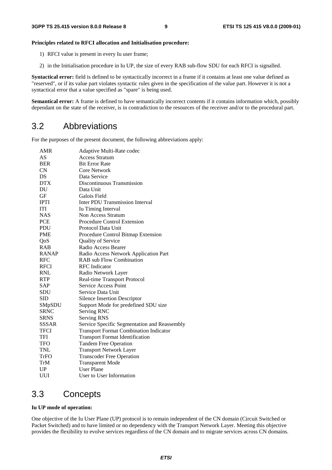#### **Principles related to RFCI allocation and Initialisation procedure:**

- 1) RFCI value is present in every Iu user frame;
- 2) in the Initialisation procedure in Iu UP, the size of every RAB sub-flow SDU for each RFCI is signalled.

**Syntactical error:** field is defined to be syntactically incorrect in a frame if it contains at least one value defined as "reserved", or if its value part violates syntactic rules given in the specification of the value part. However it is not a syntactical error that a value specified as "spare" is being used.

**Semantical error:** A frame is defined to have semantically incorrect contents if it contains information which, possibly dependant on the state of the receiver, is in contradiction to the resources of the receiver and/or to the procedural part.

# 3.2 Abbreviations

For the purposes of the present document, the following abbreviations apply:

| <b>AMR</b>   | Adaptive Multi-Rate codec                     |
|--------------|-----------------------------------------------|
| AS           | <b>Access Stratum</b>                         |
| <b>BER</b>   | <b>Bit Error Rate</b>                         |
| <b>CN</b>    | <b>Core Network</b>                           |
| DS           | Data Service                                  |
| <b>DTX</b>   | Discontinuous Transmission                    |
| DU           | Data Unit                                     |
| <b>GF</b>    | Galois Field                                  |
| <b>IPTI</b>  | <b>Inter PDU Transmission Interval</b>        |
| <b>ITI</b>   | Iu Timing Interval                            |
| <b>NAS</b>   | Non Access Stratum                            |
| <b>PCE</b>   | Procedure Control Extension                   |
| <b>PDU</b>   | Protocol Data Unit                            |
| <b>PME</b>   | Procedure Control Bitmap Extension            |
| QoS          | <b>Quality of Service</b>                     |
| <b>RAB</b>   | Radio Access Bearer                           |
| <b>RANAP</b> | Radio Access Network Application Part         |
| <b>RFC</b>   | <b>RAB</b> sub Flow Combination               |
| <b>RFCI</b>  | <b>RFC</b> Indicator                          |
| <b>RNL</b>   | Radio Network Layer                           |
| <b>RTP</b>   | Real-time Transport Protocol                  |
| SAP          | <b>Service Access Point</b>                   |
| <b>SDU</b>   | Service Data Unit                             |
| <b>SID</b>   | <b>Silence Insertion Descriptor</b>           |
| SMpSDU       | Support Mode for predefined SDU size          |
| <b>SRNC</b>  | Serving RNC                                   |
| <b>SRNS</b>  | <b>Serving RNS</b>                            |
| <b>SSSAR</b> | Service Specific Segmentation and Reassembly  |
| <b>TFCI</b>  | <b>Transport Format Combination Indicator</b> |
| <b>TFI</b>   | <b>Transport Format Identification</b>        |
| <b>TFO</b>   | <b>Tandem Free Operation</b>                  |
| <b>TNL</b>   | <b>Transport Network Layer</b>                |
| TrFO         | <b>Transcoder Free Operation</b>              |
| TrM          | <b>Transparent Mode</b>                       |
| UP           | <b>User Plane</b>                             |
| UUI          | User to User Information                      |

# 3.3 Concepts

#### **Iu UP mode of operation:**

One objective of the Iu User Plane (UP) protocol is to remain independent of the CN domain (Circuit Switched or Packet Switched) and to have limited or no dependency with the Transport Network Layer. Meeting this objective provides the flexibility to evolve services regardless of the CN domain and to migrate services across CN domains.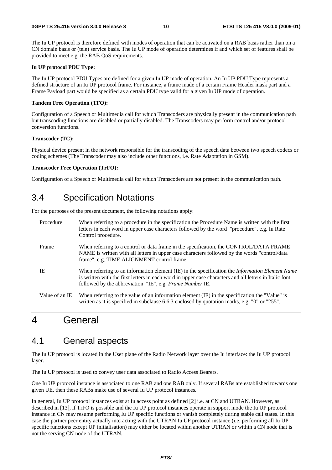The Iu UP protocol is therefore defined with modes of operation that can be activated on a RAB basis rather than on a CN domain basis or (tele) service basis. The Iu UP mode of operation determines if and which set of features shall be provided to meet e.g. the RAB QoS requirements.

#### **Iu UP protocol PDU Type:**

The Iu UP protocol PDU Types are defined for a given Iu UP mode of operation. An Iu UP PDU Type represents a defined structure of an Iu UP protocol frame. For instance, a frame made of a certain Frame Header mask part and a Frame Payload part would be specified as a certain PDU type valid for a given Iu UP mode of operation.

#### **Tandem Free Operation (TFO):**

Configuration of a Speech or Multimedia call for which Transcoders are physically present in the communication path but transcoding functions are disabled or partially disabled. The Transcoders may perform control and/or protocol conversion functions.

#### **Transcoder (TC):**

Physical device present in the network responsible for the transcoding of the speech data between two speech codecs or coding schemes (The Transcoder may also include other functions, i.e. Rate Adaptation in GSM).

#### **Transcoder Free Operation (TrFO):**

Configuration of a Speech or Multimedia call for which Transcoders are not present in the communication path.

# 3.4 Specification Notations

For the purposes of the present document, the following notations apply:

| Procedure      | When referring to a procedure in the specification the Procedure Name is written with the first<br>letters in each word in upper case characters followed by the word "procedure", e.g. Iu Rate<br>Control procedure.                                                        |
|----------------|------------------------------------------------------------------------------------------------------------------------------------------------------------------------------------------------------------------------------------------------------------------------------|
| Frame          | When referring to a control or data frame in the specification, the CONTROL/DATA FRAME<br>NAME is written with all letters in upper case characters followed by the words "control/data"<br>frame", e.g. TIME ALIGNMENT control frame.                                       |
| IE             | When referring to an information element (IE) in the specification the <i>Information Element Name</i><br>is written with the first letters in each word in upper case characters and all letters in Italic font<br>followed by the abbreviation "IE", e.g. Frame Number IE. |
| Value of an IE | When referring to the value of an information element (IE) in the specification the "Value" is<br>written as it is specified in subclause 6.6.3 enclosed by quotation marks, e.g. "0" or "255".                                                                              |

# 4 General

# 4.1 General aspects

The Iu UP protocol is located in the User plane of the Radio Network layer over the Iu interface: the Iu UP protocol layer.

The Iu UP protocol is used to convey user data associated to Radio Access Bearers.

One Iu UP protocol instance is associated to one RAB and one RAB only. If several RABs are established towards one given UE, then these RABs make use of several Iu UP protocol instances.

In general, Iu UP protocol instances exist at Iu access point as defined [2] i.e. at CN and UTRAN. However, as described in [13], if TrFO is possible and the Iu UP protocol instances operate in support mode the Iu UP protocol instance in CN may resume performing Iu UP specific functions or vanish completely during stable call states. In this case the partner peer entity actually interacting with the UTRAN Iu UP protocol instance (i.e. performing all Iu UP specific functions except UP initialisation) may either be located within another UTRAN or within a CN node that is not the serving CN node of the UTRAN.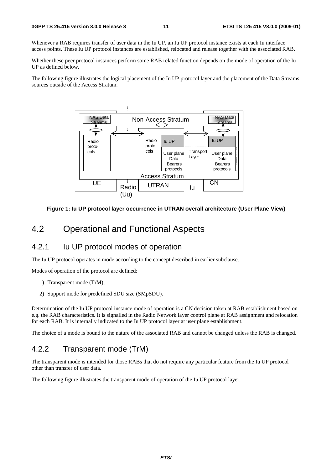#### **3GPP TS 25.415 version 8.0.0 Release 8 11 ETSI TS 125 415 V8.0.0 (2009-01)**

Whenever a RAB requires transfer of user data in the Iu UP, an Iu UP protocol instance exists at each Iu interface access points. These Iu UP protocol instances are established, relocated and release together with the associated RAB.

Whether these peer protocol instances perform some RAB related function depends on the mode of operation of the Iu UP as defined below.

The following figure illustrates the logical placement of the Iu UP protocol layer and the placement of the Data Streams sources outside of the Access Stratum.



**Figure 1: Iu UP protocol layer occurrence in UTRAN overall architecture (User Plane View)** 

# 4.2 Operational and Functional Aspects

# 4.2.1 Iu UP protocol modes of operation

The Iu UP protocol operates in mode according to the concept described in earlier subclause.

Modes of operation of the protocol are defined:

- 1) Transparent mode (TrM);
- 2) Support mode for predefined SDU size (SMpSDU).

Determination of the Iu UP protocol instance mode of operation is a CN decision taken at RAB establishment based on e.g. the RAB characteristics. It is signalled in the Radio Network layer control plane at RAB assignment and relocation for each RAB. It is internally indicated to the Iu UP protocol layer at user plane establishment.

The choice of a mode is bound to the nature of the associated RAB and cannot be changed unless the RAB is changed.

# 4.2.2 Transparent mode (TrM)

The transparent mode is intended for those RABs that do not require any particular feature from the Iu UP protocol other than transfer of user data.

The following figure illustrates the transparent mode of operation of the Iu UP protocol layer.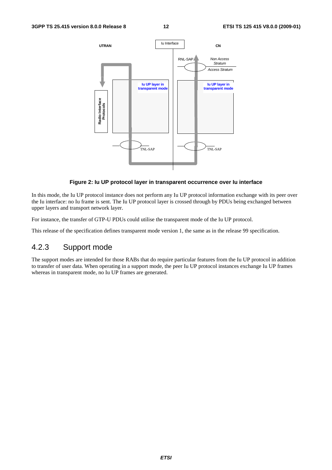

#### **Figure 2: Iu UP protocol layer in transparent occurrence over Iu interface**

In this mode, the Iu UP protocol instance does not perform any Iu UP protocol information exchange with its peer over the Iu interface: no Iu frame is sent. The Iu UP protocol layer is crossed through by PDUs being exchanged between upper layers and transport network layer.

For instance, the transfer of GTP-U PDUs could utilise the transparent mode of the Iu UP protocol.

This release of the specification defines transparent mode version 1, the same as in the release 99 specification.

# 4.2.3 Support mode

The support modes are intended for those RABs that do require particular features from the Iu UP protocol in addition to transfer of user data. When operating in a support mode, the peer Iu UP protocol instances exchange Iu UP frames whereas in transparent mode, no Iu UP frames are generated.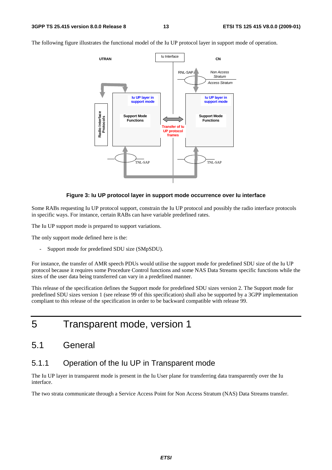The following figure illustrates the functional model of the Iu UP protocol layer in support mode of operation.



#### **Figure 3: Iu UP protocol layer in support mode occurrence over Iu interface**

Some RABs requesting Iu UP protocol support, constrain the Iu UP protocol and possibly the radio interface protocols in specific ways. For instance, certain RABs can have variable predefined rates.

The Iu UP support mode is prepared to support variations.

The only support mode defined here is the:

Support mode for predefined SDU size (SMpSDU).

For instance, the transfer of AMR speech PDUs would utilise the support mode for predefined SDU size of the Iu UP protocol because it requires some Procedure Control functions and some NAS Data Streams specific functions while the sizes of the user data being transferred can vary in a predefined manner.

This release of the specification defines the Support mode for predefined SDU sizes version 2. The Support mode for predefined SDU sizes version 1 (see release 99 of this specification) shall also be supported by a 3GPP implementation compliant to this release of the specification in order to be backward compatible with release 99.

5 Transparent mode, version 1

# 5.1 General

# 5.1.1 Operation of the Iu UP in Transparent mode

The Iu UP layer in transparent mode is present in the Iu User plane for transferring data transparently over the Iu interface.

The two strata communicate through a Service Access Point for Non Access Stratum (NAS) Data Streams transfer.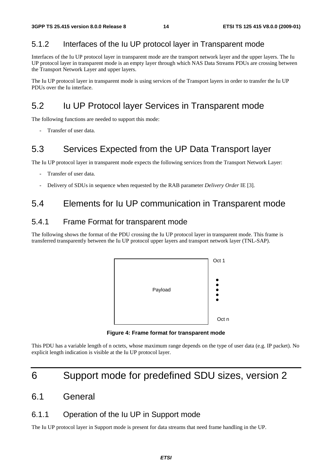# 5.1.2 Interfaces of the Iu UP protocol layer in Transparent mode

Interfaces of the Iu UP protocol layer in transparent mode are the transport network layer and the upper layers. The Iu UP protocol layer in transparent mode is an empty layer through which NAS Data Streams PDUs are crossing between the Transport Network Layer and upper layers.

The Iu UP protocol layer in transparent mode is using services of the Transport layers in order to transfer the Iu UP PDUs over the Iu interface.

# 5.2 Iu UP Protocol layer Services in Transparent mode

The following functions are needed to support this mode:

Transfer of user data.

# 5.3 Services Expected from the UP Data Transport layer

The Iu UP protocol layer in transparent mode expects the following services from the Transport Network Layer:

- Transfer of user data.
- Delivery of SDUs in sequence when requested by the RAB parameter *Delivery Order* IE [3].

# 5.4 Elements for Iu UP communication in Transparent mode

# 5.4.1 Frame Format for transparent mode

The following shows the format of the PDU crossing the Iu UP protocol layer in transparent mode. This frame is transferred transparently between the Iu UP protocol upper layers and transport network layer (TNL-SAP).



**Figure 4: Frame format for transparent mode** 

This PDU has a variable length of n octets, whose maximum range depends on the type of user data (e.g. IP packet). No explicit length indication is visible at the Iu UP protocol layer.

# 6 Support mode for predefined SDU sizes, version 2

# 6.1 General

# 6.1.1 Operation of the Iu UP in Support mode

The Iu UP protocol layer in Support mode is present for data streams that need frame handling in the UP.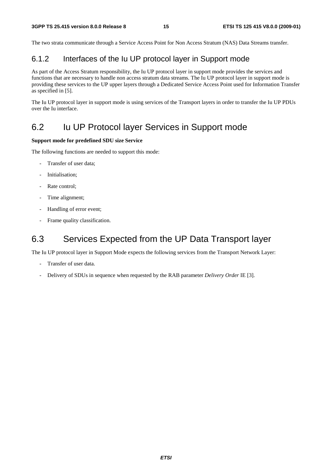The two strata communicate through a Service Access Point for Non Access Stratum (NAS) Data Streams transfer.

# 6.1.2 Interfaces of the Iu UP protocol layer in Support mode

As part of the Access Stratum responsibility, the Iu UP protocol layer in support mode provides the services and functions that are necessary to handle non access stratum data streams. The Iu UP protocol layer in support mode is providing these services to the UP upper layers through a Dedicated Service Access Point used for Information Transfer as specified in [5].

The Iu UP protocol layer in support mode is using services of the Transport layers in order to transfer the Iu UP PDUs over the Iu interface.

# 6.2 Iu UP Protocol layer Services in Support mode

#### **Support mode for predefined SDU size Service**

The following functions are needed to support this mode:

- Transfer of user data:
- Initialisation;
- Rate control;
- Time alignment;
- Handling of error event;
- Frame quality classification.

# 6.3 Services Expected from the UP Data Transport layer

The Iu UP protocol layer in Support Mode expects the following services from the Transport Network Layer:

- Transfer of user data.
- Delivery of SDUs in sequence when requested by the RAB parameter *Delivery Order* IE [3].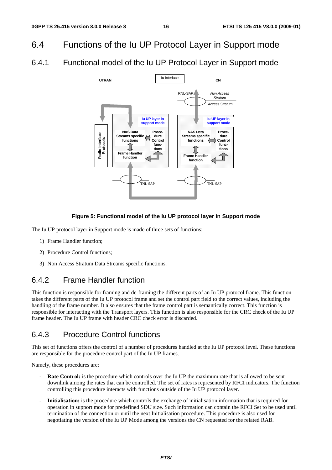- 6.4 Functions of the Iu UP Protocol Layer in Support mode
- 6.4.1 Functional model of the Iu UP Protocol Layer in Support mode



### **Figure 5: Functional model of the Iu UP protocol layer in Support mode**

The Iu UP protocol layer in Support mode is made of three sets of functions:

- 1) Frame Handler function;
- 2) Procedure Control functions;
- 3) Non Access Stratum Data Streams specific functions.

# 6.4.2 Frame Handler function

This function is responsible for framing and de-framing the different parts of an Iu UP protocol frame. This function takes the different parts of the Iu UP protocol frame and set the control part field to the correct values, including the handling of the frame number. It also ensures that the frame control part is semantically correct. This function is responsible for interacting with the Transport layers. This function is also responsible for the CRC check of the Iu UP frame header. The Iu UP frame with header CRC check error is discarded.

# 6.4.3 Procedure Control functions

This set of functions offers the control of a number of procedures handled at the Iu UP protocol level. These functions are responsible for the procedure control part of the Iu UP frames.

Namely, these procedures are:

- **Rate Control:** is the procedure which controls over the Iu UP the maximum rate that is allowed to be sent downlink among the rates that can be controlled. The set of rates is represented by RFCI indicators. The function controlling this procedure interacts with functions outside of the Iu UP protocol layer.
- **Initialisation:** is the procedure which controls the exchange of initialisation information that is required for operation in support mode for predefined SDU size. Such information can contain the RFCI Set to be used until termination of the connection or until the next Initialisation procedure. This procedure is also used for negotiating the version of the Iu UP Mode among the versions the CN requested for the related RAB.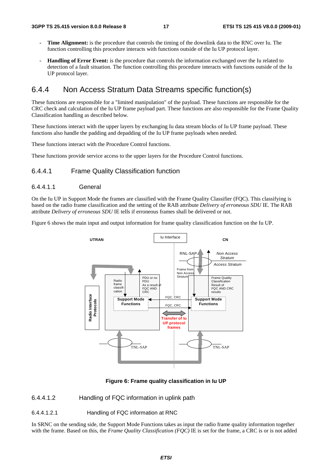- **Time Alignment:** is the procedure that controls the timing of the downlink data to the RNC over Iu. The function controlling this procedure interacts with functions outside of the Iu UP protocol layer.
- **Handling of Error Event:** is the procedure that controls the information exchanged over the Iu related to detection of a fault situation. The function controlling this procedure interacts with functions outside of the Iu UP protocol layer.

# 6.4.4 Non Access Stratum Data Streams specific function(s)

These functions are responsible for a "limited manipulation" of the payload. These functions are responsible for the CRC check and calculation of the Iu UP frame payload part. These functions are also responsible for the Frame Quality Classification handling as described below.

These functions interact with the upper layers by exchanging Iu data stream blocks of Iu UP frame payload. These functions also handle the padding and depadding of the Iu UP frame payloads when needed.

These functions interact with the Procedure Control functions.

These functions provide service access to the upper layers for the Procedure Control functions.

#### 6.4.4.1 Frame Quality Classification function

### 6.4.4.1.1 General

On the Iu UP in Support Mode the frames are classified with the Frame Quality Classifier (FQC). This classifying is based on the radio frame classification and the setting of the RAB attribute *Delivery of erroneous SDU* IE. The RAB attribute *Delivery of erroneous SDU* IE tells if erroneous frames shall be delivered or not.

Figure 6 shows the main input and output information for frame quality classification function on the Iu UP.



**Figure 6: Frame quality classification in Iu UP** 

6.4.4.1.2 Handling of FQC information in uplink path

6.4.4.1.2.1 Handling of FQC information at RNC

In SRNC on the sending side, the Support Mode Functions takes as input the radio frame quality information together with the frame. Based on this, the *Frame Quality Classification (FQC)* IE is set for the frame, a CRC is or is not added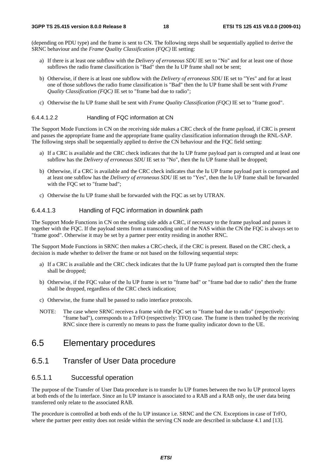(depending on PDU type) and the frame is sent to CN. The following steps shall be sequentially applied to derive the SRNC behaviour and the *Frame Quality Classification (FQC)* IE setting:

- a) If there is at least one subflow with the *Delivery of erroneous SDU* IE set to "No" and for at least one of those subflows the radio frame classification is "Bad" then the Iu UP frame shall not be sent;
- b) Otherwise, if there is at least one subflow with the *Delivery of erroneous SDU* IE set to "Yes" and for at least one of those subflows the radio frame classification is "Bad" then the Iu UP frame shall be sent with *Frame Quality Classification (FQC)* IE set to "frame bad due to radio";
- c) Otherwise the Iu UP frame shall be sent with *Frame Quality Classification (FQC)* IE set to "frame good".

#### 6.4.4.1.2.2 Handling of FQC information at CN

The Support Mode Functions in CN on the receiving side makes a CRC check of the frame payload, if CRC is present and passes the appropriate frame and the appropriate frame quality classification information through the RNL-SAP. The following steps shall be sequentially applied to derive the CN behaviour and the FQC field setting:

- a) If a CRC is available and the CRC check indicates that the Iu UP frame payload part is corrupted and at least one subflow has the *Delivery of erroneous SDU* IE set to "No", then the Iu UP frame shall be dropped;
- b) Otherwise, if a CRC is available and the CRC check indicates that the Iu UP frame payload part is corrupted and at least one subflow has the *Delivery of erroneous SDU* IE set to "Yes", then the Iu UP frame shall be forwarded with the FQC set to "frame bad";
- c) Otherwise the Iu UP frame shall be forwarded with the FQC as set by UTRAN.

### 6.4.4.1.3 Handling of FQC information in downlink path

The Support Mode Functions in CN on the sending side adds a CRC, if necessary to the frame payload and passes it together with the FQC. If the payload stems from a transcoding unit of the NAS within the CN the FQC is always set to "frame good". Otherwise it may be set by a partner peer entity residing in another RNC.

The Support Mode Functions in SRNC then makes a CRC-check, if the CRC is present. Based on the CRC check, a decision is made whether to deliver the frame or not based on the following sequential steps:

- a) If a CRC is available and the CRC check indicates that the Iu UP frame payload part is corrupted then the frame shall be dropped;
- b) Otherwise, if the FQC value of the Iu UP frame is set to "frame bad" or "frame bad due to radio" then the frame shall be dropped, regardless of the CRC check indication;
- c) Otherwise, the frame shall be passed to radio interface protocols.
- NOTE: The case where SRNC receives a frame with the FQC set to "frame bad due to radio" (respectively: "frame bad"), corresponds to a TrFO (respectively: TFO) case. The frame is then trashed by the receiving RNC since there is currently no means to pass the frame quality indicator down to the UE.

# 6.5 Elementary procedures

### 6.5.1 Transfer of User Data procedure

### 6.5.1.1 Successful operation

The purpose of the Transfer of User Data procedure is to transfer Iu UP frames between the two Iu UP protocol layers at both ends of the Iu interface. Since an Iu UP instance is associated to a RAB and a RAB only, the user data being transferred only relate to the associated RAB.

The procedure is controlled at both ends of the Iu UP instance i.e. SRNC and the CN. Exceptions in case of TrFO, where the partner peer entity does not reside within the serving CN node are described in subclause 4.1 and [13].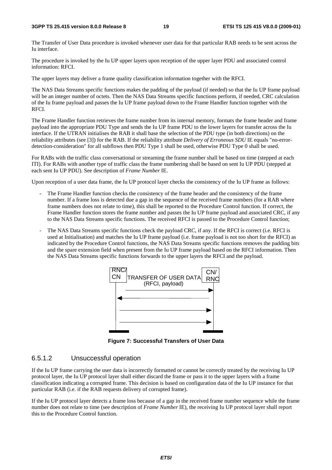#### **3GPP TS 25.415 version 8.0.0 Release 8 19 ETSI TS 125 415 V8.0.0 (2009-01)**

The Transfer of User Data procedure is invoked whenever user data for that particular RAB needs to be sent across the Iu interface.

The procedure is invoked by the Iu UP upper layers upon reception of the upper layer PDU and associated control information: RFCI.

The upper layers may deliver a frame quality classification information together with the RFCI.

The NAS Data Streams specific functions makes the padding of the payload (if needed) so that the Iu UP frame payload will be an integer number of octets. Then the NAS Data Streams specific functions perform, if needed, CRC calculation of the Iu frame payload and passes the Iu UP frame payload down to the Frame Handler function together with the RFCI.

The Frame Handler function retrieves the frame number from its internal memory, formats the frame header and frame payload into the appropriate PDU Type and sends the Iu UP frame PDU to the lower layers for transfer across the Iu interface. If the UTRAN initialises the RAB it shall base the selection of the PDU type (in both directions) on the reliability attributes (see [3]) for the RAB. If the reliability attribute *Delivery of Erroneous SDU* IE equals "no-errordetection-consideration" for all subflows then PDU Type 1 shall be used, otherwise PDU Type 0 shall be used.

For RABs with the traffic class conversational or streaming the frame number shall be based on time (stepped at each ITI). For RABs with another type of traffic class the frame numbering shall be based on sent Iu UP PDU (stepped at each sent Iu UP PDU). See description of *Frame Number* IE.

Upon reception of a user data frame, the Iu UP protocol layer checks the consistency of the Iu UP frame as follows:

- The Frame Handler function checks the consistency of the frame header and the consistency of the frame number. If a frame loss is detected due a gap in the sequence of the received frame numbers (for a RAB where frame numbers does not relate to time), this shall be reported to the Procedure Control function. If correct, the Frame Handler function stores the frame number and passes the Iu UP frame payload and associated CRC, if any to the NAS Data Streams specific functions. The received RFCI is passed to the Procedure Control function;
- The NAS Data Streams specific functions check the payload CRC, if any. If the RFCI is correct (i.e. RFCI is used at Initialisation) and matches the Iu UP frame payload (i.e. frame payload is not too short for the RFCI) as indicated by the Procedure Control functions, the NAS Data Streams specific functions removes the padding bits and the spare extension field when present from the Iu UP frame payload based on the RFCI information. Then the NAS Data Streams specific functions forwards to the upper layers the RFCI and the payload.



**Figure 7: Successful Transfers of User Data** 

### 6.5.1.2 Unsuccessful operation

If the Iu UP frame carrying the user data is incorrectly formatted or cannot be correctly treated by the receiving Iu UP protocol layer, the Iu UP protocol layer shall either discard the frame or pass it to the upper layers with a frame classification indicating a corrupted frame. This decision is based on configuration data of the Iu UP instance for that particular RAB (i.e. if the RAB requests delivery of corrupted frame).

If the Iu UP protocol layer detects a frame loss because of a gap in the received frame number sequence while the frame number does not relate to time (see description of *Frame Number* IE), the receiving Iu UP protocol layer shall report this to the Procedure Control function.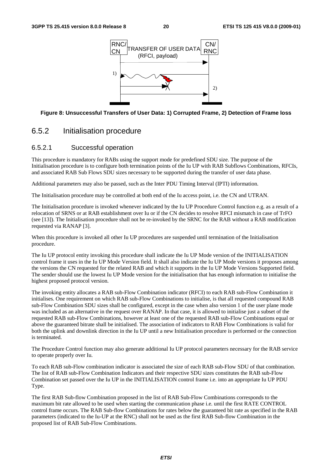

#### **Figure 8: Unsuccessful Transfers of User Data: 1) Corrupted Frame, 2) Detection of Frame loss**

### 6.5.2 Initialisation procedure

#### 6.5.2.1 Successful operation

This procedure is mandatory for RABs using the support mode for predefined SDU size. The purpose of the Initialisation procedure is to configure both termination points of the Iu UP with RAB Subflows Combinations, RFCIs, and associated RAB Sub Flows SDU sizes necessary to be supported during the transfer of user data phase.

Additional parameters may also be passed, such as the Inter PDU Timing Interval (IPTI) information.

The Initialisation procedure may be controlled at both end of the Iu access point, i.e. the CN and UTRAN.

The Initialisation procedure is invoked whenever indicated by the Iu UP Procedure Control function e.g. as a result of a relocation of SRNS or at RAB establishment over Iu or if the CN decides to resolve RFCI mismatch in case of TrFO (see [13]). The Initialisation procedure shall not be re-invoked by the SRNC for the RAB without a RAB modification requested via RANAP [3].

When this procedure is invoked all other Iu UP procedures are suspended until termination of the Initialisation procedure.

The Iu UP protocol entity invoking this procedure shall indicate the Iu UP Mode version of the INITIALISATION control frame it uses in the Iu UP Mode Version field. It shall also indicate the Iu UP Mode versions it proposes among the versions the CN requested for the related RAB and which it supports in the Iu UP Mode Versions Supported field. The sender should use the lowest Iu UP Mode version for the initialisation that has enough information to initialise the highest proposed protocol version.

The invoking entity allocates a RAB sub-Flow Combination indicator (RFCI) to each RAB sub-Flow Combination it initialises. One requirement on which RAB sub-Flow Combinations to initialise, is that all requested compound RAB sub-Flow Combination SDU sizes shall be configured, except in the case when also version 1 of the user plane mode was included as an alternative in the request over RANAP. In that case, it is allowed to initialise just a subset of the requested RAB sub-Flow Combinations, however at least one of the requested RAB sub-Flow Combinations equal or above the guaranteed bitrate shall be initialised. The association of indicators to RAB Flow Combinations is valid for both the uplink and downlink direction in the Iu UP until a new Initialisation procedure is performed or the connection is terminated.

The Procedure Control function may also generate additional Iu UP protocol parameters necessary for the RAB service to operate properly over Iu.

To each RAB sub-Flow combination indicator is associated the size of each RAB sub-Flow SDU of that combination. The list of RAB sub-Flow Combination Indicators and their respective SDU sizes constitutes the RAB sub-Flow Combination set passed over the Iu UP in the INITIALISATION control frame i.e. into an appropriate Iu UP PDU Type.

The first RAB Sub-flow Combination proposed in the list of RAB Sub-Flow Combinations corresponds to the maximum bit rate allowed to be used when starting the communication phase i.e. until the first RATE CONTROL control frame occurs. The RAB Sub-flow Combinations for rates below the guaranteed bit rate as specified in the RAB parameters (indicated to the Iu-UP at the RNC) shall not be used as the first RAB Sub-flow Combination in the proposed list of RAB Sub-Flow Combinations.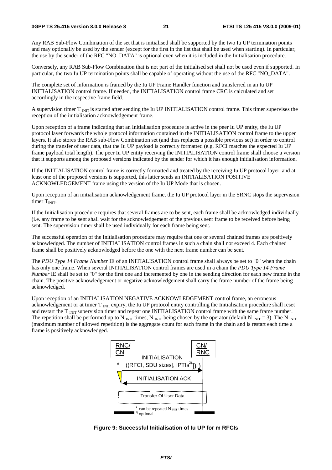Any RAB Sub-Flow Combination of the set that is initialised shall be supported by the two Iu UP termination points and may optionally be used by the sender (except for the first in the list that shall be used when starting). In particular, the use by the sender of the RFC "NO\_DATA" is optional even when it is included in the Initialisation procedure.

Conversely, any RAB Sub-Flow Combination that is not part of the initialised set shall not be used even if supported. In particular, the two Iu UP termination points shall be capable of operating without the use of the RFC "NO\_DATA".

The complete set of information is framed by the Iu UP Frame Handler function and transferred in an Iu UP INITIALISATION control frame. If needed, the INITIALISATION control frame CRC is calculated and set accordingly in the respective frame field.

A supervision timer  $T_{\text{INT}}$  is started after sending the Iu UP INITIALISATION control frame. This timer supervises the reception of the initialisation acknowledgement frame.

Upon reception of a frame indicating that an Initialisation procedure is active in the peer Iu UP entity, the Iu UP protocol layer forwards the whole protocol information contained in the INITIALISATION control frame to the upper layers. It also stores the RAB sub-Flow Combination set (and thus replaces a possible previous set) in order to control during the transfer of user data, that the Iu UP payload is correctly formatted (e.g. RFCI matches the expected Iu UP frame payload total length). The peer Iu UP entity receiving the INITIALISATION control frame shall choose a version that it supports among the proposed versions indicated by the sender for which it has enough initialisation information.

If the INITIALISATION control frame is correctly formatted and treated by the receiving Iu UP protocol layer, and at least one of the proposed versions is supported, this latter sends an INITIALISATION POSITIVE ACKNOWLEDGEMENT frame using the version of the Iu UP Mode that is chosen.

Upon reception of an initialisation acknowledgement frame, the Iu UP protocol layer in the SRNC stops the supervision timer  $T<sub>INT</sub>$ .

If the Initialisation procedure requires that several frames are to be sent, each frame shall be acknowledged individually (i.e. any frame to be sent shall wait for the acknowledgement of the previous sent frame to be received before being sent. The supervision timer shall be used individually for each frame being sent.

The successful operation of the Initialisation procedure may require that one or several chained frames are positively acknowledged. The number of INITIALISATION control frames in such a chain shall not exceed 4. Each chained frame shall be positively acknowledged before the one with the next frame number can be sent.

The *PDU Type 14 Frame Number* IE of an INITIALISATION control frame shall always be set to "0" when the chain has only one frame. When several INITIALISATION control frames are used in a chain the *PDU Type 14 Frame Number* IE shall be set to "0" for the first one and incremented by one in the sending direction for each new frame in the chain. The positive acknowledgement or negative acknowledgement shall carry the frame number of the frame being acknowledged.

Upon reception of an INITIALISATION NEGATIVE ACKNOWLEDGEMENT control frame, an erroneous acknowledgement or at timer  $T_{\text{INT}}$  expiry, the Iu UP protocol entity controlling the Initialisation procedure shall reset and restart the  $T_{\text{INT}}$  supervision timer and repeat one INITIALISATION control frame with the same frame number. The repetition shall be performed up to N  $_{\text{INT}}$  times, N  $_{\text{NIT}}$  being chosen by the operator (default N  $_{\text{NIT}}$  = 3). The N  $_{\text{INT}}$ (maximum number of allowed repetition) is the aggregate count for each frame in the chain and is restart each time a frame is positively acknowledged.



**Figure 9: Successful Initialisation of Iu UP for m RFCIs**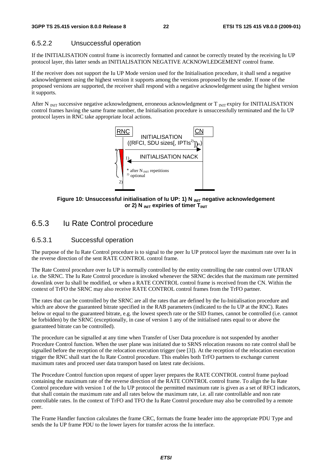### 6.5.2.2 Unsuccessful operation

If the INITIALISATION control frame is incorrectly formatted and cannot be correctly treated by the receiving Iu UP protocol layer, this latter sends an INITIALISATION NEGATIVE ACKNOWLEDGEMENT control frame.

If the receiver does not support the Iu UP Mode version used for the Initialisation procedure, it shall send a negative acknowledgement using the highest version it supports among the versions proposed by the sender. If none of the proposed versions are supported, the receiver shall respond with a negative acknowledgement using the highest version it supports.

After N  $_{\text{NIT}}$  successive negative acknowledgment, erroneous acknowledgment or T  $_{\text{NIT}}$  expiry for INITIALISATION control frames having the same frame number, the Initialisation procedure is unsuccessfully terminated and the Iu UP protocol layers in RNC take appropriate local actions.



Figure 10: Unsuccessful initialisation of Iu UP: 1) N <sub>INIT</sub> negative acknowledgement or 2) N **INIT** expiries of timer T<sub>INIT</sub>

# 6.5.3 Iu Rate Control procedure

### 6.5.3.1 Successful operation

The purpose of the Iu Rate Control procedure is to signal to the peer Iu UP protocol layer the maximum rate over Iu in the reverse direction of the sent RATE CONTROL control frame.

The Rate Control procedure over Iu UP is normally controlled by the entity controlling the rate control over UTRAN i.e. the SRNC. The Iu Rate Control procedure is invoked whenever the SRNC decides that the maximum rate permitted downlink over Iu shall be modified, or when a RATE CONTROL control frame is received from the CN. Within the context of TrFO the SRNC may also receive RATE CONTROL control frames from the TrFO partner.

The rates that can be controlled by the SRNC are all the rates that are defined by the Iu-Initialisation procedure and which are above the guaranteed bitrate specified in the RAB parameters (indicated to the Iu UP at the RNC). Rates below or equal to the guaranteed bitrate, e.g. the lowest speech rate or the SID frames, cannot be controlled (i.e. cannot be forbidden) by the SRNC (exceptionally, in case of version 1 any of the initialised rates equal to or above the guaranteed bitrate can be controlled).

The procedure can be signalled at any time when Transfer of User Data procedure is not suspended by another Procedure Control function. When the user plane was initiated due to SRNS relocation reasons no rate control shall be signalled before the reception of the relocation execution trigger (see [3]). At the reception of the relocation execution trigger the RNC shall start the Iu Rate Control procedure. This enables both TrFO partners to exchange current maximum rates and proceed user data transport based on latest rate decisions.

The Procedure Control function upon request of upper layer prepares the RATE CONTROL control frame payload containing the maximum rate of the reverse direction of the RATE CONTROL control frame. To align the Iu Rate Control procedure with version 1 of the Iu UP protocol the permitted maximum rate is given as a set of RFCI indicators, that shall contain the maximum rate and all rates below the maximum rate, i.e. all rate controllable and non rate controllable rates. In the context of TrFO and TFO the Iu Rate Control procedure may also be controlled by a remote peer.

The Frame Handler function calculates the frame CRC, formats the frame header into the appropriate PDU Type and sends the Iu UP frame PDU to the lower layers for transfer across the Iu interface.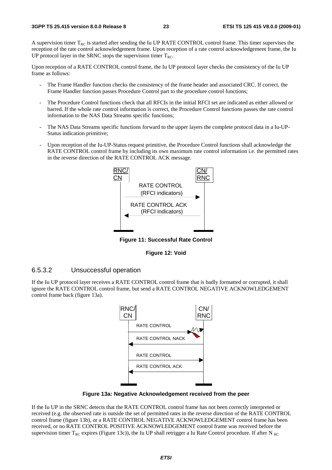A supervision timer  $T_{RC}$  is started after sending the Iu UP RATE CONTROL control frame. This timer supervises the reception of the rate control acknowledgement frame. Upon reception of a rate control acknowledgement frame, the Iu UP protocol layer in the SRNC stops the supervision timer  $T_{RC}$ .

Upon reception of a RATE CONTROL control frame, the Iu UP protocol layer checks the consistency of the Iu UP frame as follows:

- The Frame Handler function checks the consistency of the frame header and associated CRC. If correct, the Frame Handler function passes Procedure Control part to the procedure control functions;
- The Procedure Control functions check that all RFCIs in the initial RFCI set are indicated as either allowed or barred. If the whole rate control information is correct, the Procedure Control functions passes the rate control information to the NAS Data Streams specific functions;
- The NAS Data Streams specific functions forward to the upper layers the complete protocol data in a Iu-UP-Status indication primitive;
- Upon reception of the Iu-UP-Status request primitive, the Procedure Control functions shall acknowledge the RATE CONTROL control frame by including its own maximum rate control information i.e. the permitted rates in the reverse direction of the RATE CONTROL ACK message.



**Figure 11: Successful Rate Control** 



### 6.5.3.2 Unsuccessful operation

If the Iu UP protocol layer receives a RATE CONTROL control frame that is badly formatted or corrupted, it shall ignore the RATE CONTROL control frame, but send a RATE CONTROL NEGATIVE ACKNOWLEDGEMENT control frame back (figure 13a).



**Figure 13a: Negative Acknowledgement received from the peer** 

If the Iu UP in the SRNC detects that the RATE CONTROL control frame has not been correctly interpreted or received (e.g. the observed rate is outside the set of permitted rates in the reverse direction of the RATE CONTROL control frame (figure 13b), or a RATE CONTROL NEGATIVE ACKNOWLEDGEMENT control frame has been received, or no RATE CONTROL POSITIVE ACKNOWLEDGEMENT control frame was received before the supervision timer  $T_{RC}$  expires (Figure 13c)), the Iu UP shall retrigger a Iu Rate Control procedure. If after N  $_{RC}$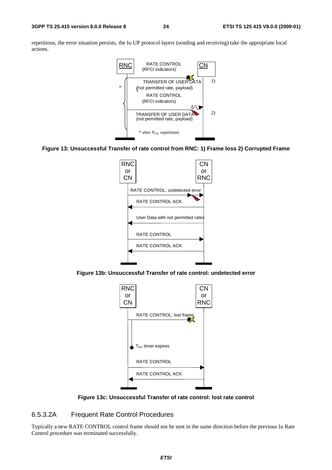repetitions, the error situation persists, the Iu UP protocol layers (sending and receiving) take the appropriate local actions.



#### **Figure 13: Unsuccessful Transfer of rate control from RNC: 1) Frame loss 2) Corrupted Frame**



**Figure 13b: Unsuccessful Transfer of rate control: undetected error** 



**Figure 13c: Unsuccessful Transfer of rate control: lost rate control** 

### 6.5.3.2A Frequent Rate Control Procedures

Typically a new RATE CONTROL control frame should not be sent in the same direction before the previous Iu Rate Control procedure was terminated successfully.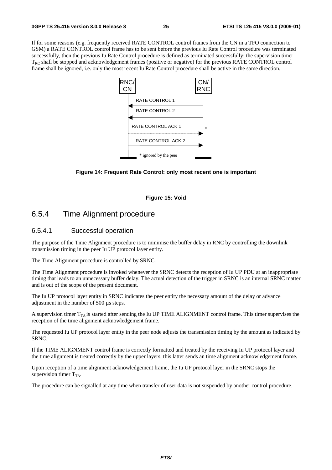If for some reasons (e.g. frequently received RATE CONTROL control frames from the CN in a TFO connection to GSM) a RATE CONTROL control frame has to be sent before the previous Iu Rate Control procedure was terminated successfully, then the previous Iu Rate Control procedure is defined as terminated successfully: the supervision timer T<sub>RC</sub> shall be stopped and acknowledgement frames (positive or negative) for the previous RATE CONTROL control frame shall be ignored, i.e. only the most recent Iu Rate Control procedure shall be active in the same direction.



#### **Figure 14: Frequent Rate Control: only most recent one is important**

#### **Figure 15: Void**

# 6.5.4 Time Alignment procedure

### 6.5.4.1 Successful operation

The purpose of the Time Alignment procedure is to minimise the buffer delay in RNC by controlling the downlink transmission timing in the peer Iu UP protocol layer entity.

The Time Alignment procedure is controlled by SRNC.

The Time Alignment procedure is invoked whenever the SRNC detects the reception of Iu UP PDU at an inappropriate timing that leads to an unnecessary buffer delay. The actual detection of the trigger in SRNC is an internal SRNC matter and is out of the scope of the present document.

The Iu UP protocol layer entity in SRNC indicates the peer entity the necessary amount of the delay or advance adjustment in the number of 500 µs steps.

A supervision timer  $T_{TA}$  is started after sending the Iu UP TIME ALIGNMENT control frame. This timer supervises the reception of the time alignment acknowledgement frame.

The requested Iu UP protocol layer entity in the peer node adjusts the transmission timing by the amount as indicated by SRNC.

If the TIME ALIGNMENT control frame is correctly formatted and treated by the receiving Iu UP protocol layer and the time alignment is treated correctly by the upper layers, this latter sends an time alignment acknowledgement frame.

Upon reception of a time alignment acknowledgement frame, the Iu UP protocol layer in the SRNC stops the supervision timer  $T_{TA}$ .

The procedure can be signalled at any time when transfer of user data is not suspended by another control procedure.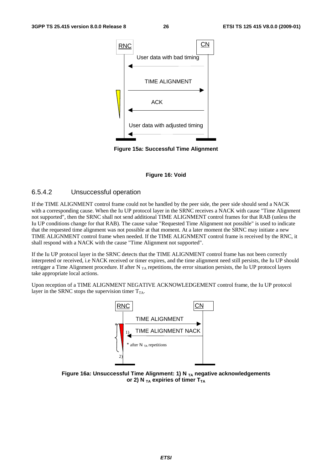

**Figure 15a: Successful Time Alignment** 

#### **Figure 16: Void**

### 6.5.4.2 Unsuccessful operation

If the TIME ALIGNMENT control frame could not be handled by the peer side, the peer side should send a NACK with a corresponding cause. When the Iu UP protocol layer in the SRNC receives a NACK with cause "Time Alignment not supported", then the SRNC shall not send additional TIME ALIGNMENT control frames for that RAB (unless the Iu UP conditions change for that RAB). The cause value "Requested Time Alignment not possible" is used to indicate that the requested time alignment was not possible at that moment. At a later moment the SRNC may initiate a new TIME ALIGNMENT control frame when needed. If the TIME ALIGNMENT control frame is received by the RNC, it shall respond with a NACK with the cause "Time Alignment not supported".

If the Iu UP protocol layer in the SRNC detects that the TIME ALIGNMENT control frame has not been correctly interpreted or received, i.e NACK received or timer expires, and the time alignment need still persists, the Iu UP should retrigger a Time Alignment procedure. If after N<sub>TA</sub> repetitions, the error situation persists, the Iu UP protocol layers take appropriate local actions.

Upon reception of a TIME ALIGNMENT NEGATIVE ACKNOWLEDGEMENT control frame, the Iu UP protocol layer in the SRNC stops the supervision timer  $T_{TA}$ .



Figure 16a: Unsuccessful Time Alignment: 1) N <sub>TA</sub> negative acknowledgements or 2) N  $_{TA}$  expiries of timer  $T_{TA}$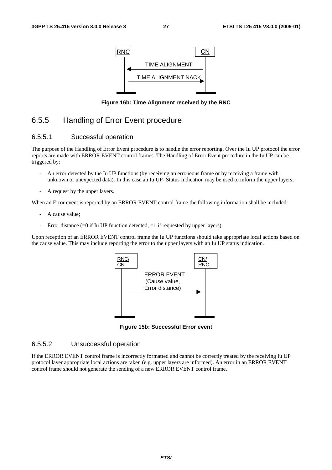

**Figure 16b: Time Alignment received by the RNC** 

# 6.5.5 Handling of Error Event procedure

### 6.5.5.1 Successful operation

The purpose of the Handling of Error Event procedure is to handle the error reporting. Over the Iu UP protocol the error reports are made with ERROR EVENT control frames. The Handling of Error Event procedure in the Iu UP can be triggered by:

- An error detected by the Iu UP functions (by receiving an erroneous frame or by receiving a frame with unknown or unexpected data). In this case an Iu UP- Status Indication may be used to inform the upper layers;
- A request by the upper layers.

When an Error event is reported by an ERROR EVENT control frame the following information shall be included:

- A cause value;
- Error distance  $(=0$  if Iu UP function detected,  $=1$  if requested by upper layers).

Upon reception of an ERROR EVENT control frame the Iu UP functions should take appropriate local actions based on the cause value. This may include reporting the error to the upper layers with an Iu UP status indication.



**Figure 15b: Successful Error event** 

### 6.5.5.2 Unsuccessful operation

If the ERROR EVENT control frame is incorrectly formatted and cannot be correctly treated by the receiving Iu UP protocol layer appropriate local actions are taken (e.g. upper layers are informed). An error in an ERROR EVENT control frame should not generate the sending of a new ERROR EVENT control frame.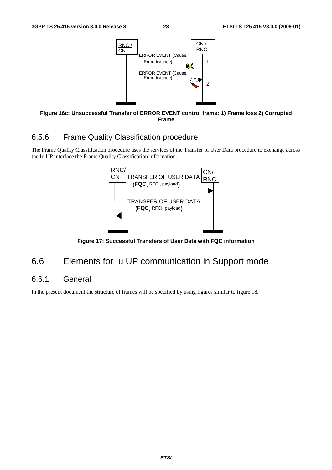

**Figure 16c: Unsuccessful Transfer of ERROR EVENT control frame: 1) Frame loss 2) Corrupted Frame** 

# 6.5.6 Frame Quality Classification procedure

The Frame Quality Classification procedure uses the services of the Transfer of User Data procedure to exchange across the Iu UP interface the Frame Quality Classification information.



**Figure 17: Successful Transfers of User Data with FQC information** 

# 6.6 Elements for Iu UP communication in Support mode

# 6.6.1 General

In the present document the structure of frames will be specified by using figures similar to figure 18.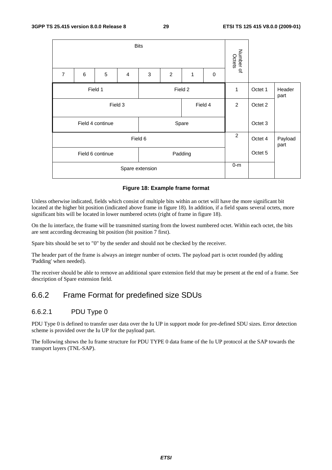|                             |       |                  |                | Number of<br>Octets |                |       |             |                |         |                 |
|-----------------------------|-------|------------------|----------------|---------------------|----------------|-------|-------------|----------------|---------|-----------------|
| $\overline{7}$              | $\,6$ | 5                | $\overline{4}$ | 3                   | $\overline{c}$ | 1     | $\mathbf 0$ |                |         |                 |
| Field 1<br>Field 2          |       |                  |                |                     |                |       |             |                | Octet 1 | Header<br>part  |
| Field 3<br>Field 4          |       |                  |                |                     |                |       |             |                | Octet 2 |                 |
|                             |       | Field 4 continue |                |                     |                | Spare |             |                | Octet 3 |                 |
|                             |       |                  |                | Field 6             |                |       |             | $\overline{2}$ | Octet 4 | Payload<br>part |
| Field 6 continue<br>Padding |       |                  |                |                     |                |       |             |                | Octet 5 |                 |
|                             |       |                  | $0-m$          |                     |                |       |             |                |         |                 |

#### **Figure 18: Example frame format**

Unless otherwise indicated, fields which consist of multiple bits within an octet will have the more significant bit located at the higher bit position (indicated above frame in figure 18). In addition, if a field spans several octets, more significant bits will be located in lower numbered octets (right of frame in figure 18).

On the Iu interface, the frame will be transmitted starting from the lowest numbered octet. Within each octet, the bits are sent according decreasing bit position (bit position 7 first).

Spare bits should be set to "0" by the sender and should not be checked by the receiver.

The header part of the frame is always an integer number of octets. The payload part is octet rounded (by adding 'Padding' when needed).

The receiver should be able to remove an additional spare extension field that may be present at the end of a frame. See description of Spare extension field.

# 6.6.2 Frame Format for predefined size SDUs

### 6.6.2.1 PDU Type 0

PDU Type 0 is defined to transfer user data over the Iu UP in support mode for pre-defined SDU sizes. Error detection scheme is provided over the Iu UP for the payload part.

The following shows the Iu frame structure for PDU TYPE 0 data frame of the Iu UP protocol at the SAP towards the transport layers (TNL-SAP).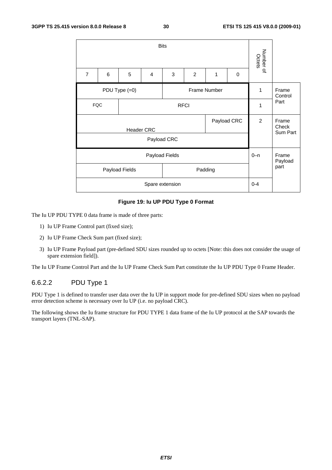

#### **Figure 19: Iu UP PDU Type 0 Format**

The Iu UP PDU TYPE 0 data frame is made of three parts:

- 1) Iu UP Frame Control part (fixed size);
- 2) Iu UP Frame Check Sum part (fixed size);
- 3) Iu UP Frame Payload part (pre-defined SDU sizes rounded up to octets [Note: this does not consider the usage of spare extension field]).

The Iu UP Frame Control Part and the Iu UP Frame Check Sum Part constitute the Iu UP PDU Type 0 Frame Header.

### 6.6.2.2 PDU Type 1

PDU Type 1 is defined to transfer user data over the Iu UP in support mode for pre-defined SDU sizes when no payload error detection scheme is necessary over Iu UP (i.e. no payload CRC).

The following shows the Iu frame structure for PDU TYPE 1 data frame of the Iu UP protocol at the SAP towards the transport layers (TNL-SAP).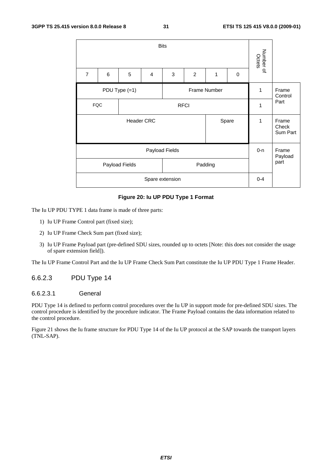

#### **Figure 20: Iu UP PDU Type 1 Format**

The Iu UP PDU TYPE 1 data frame is made of three parts:

- 1) Iu UP Frame Control part (fixed size);
- 2) Iu UP Frame Check Sum part (fixed size);
- 3) Iu UP Frame Payload part (pre-defined SDU sizes, rounded up to octets [Note: this does not consider the usage of spare extension field]).

The Iu UP Frame Control Part and the Iu UP Frame Check Sum Part constitute the Iu UP PDU Type 1 Frame Header.

### 6.6.2.3 PDU Type 14

### 6.6.2.3.1 General

PDU Type 14 is defined to perform control procedures over the Iu UP in support mode for pre-defined SDU sizes. The control procedure is identified by the procedure indicator. The Frame Payload contains the data information related to the control procedure.

Figure 21 shows the Iu frame structure for PDU Type 14 of the Iu UP protocol at the SAP towards the transport layers (TNL-SAP).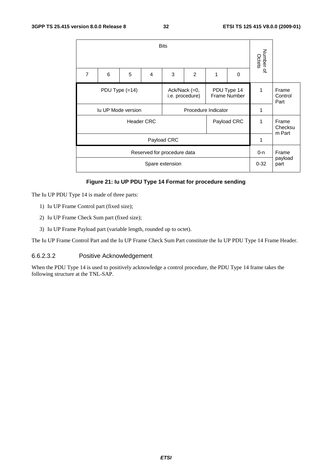|                            | Number of<br>Octets |                                                                                     | <b>Bits</b>                 |               |                 |                   |                           |   |                |  |  |  |  |
|----------------------------|---------------------|-------------------------------------------------------------------------------------|-----------------------------|---------------|-----------------|-------------------|---------------------------|---|----------------|--|--|--|--|
|                            |                     | $\Omega$                                                                            | 1                           | $\mathcal{P}$ | 3               | 4                 | 5                         | 6 | $\overline{7}$ |  |  |  |  |
| Frame<br>Control<br>Part   | 1                   | PDU Type $(=14)$<br>Ack/Nack (=0,<br>PDU Type 14<br>Frame Number<br>i.e. procedure) |                             |               |                 |                   |                           |   |                |  |  |  |  |
|                            | 1                   |                                                                                     | Procedure Indicator         |               |                 |                   | <b>Iu UP Mode version</b> |   |                |  |  |  |  |
| Frame<br>Checksu<br>m Part | 1                   | Payload CRC                                                                         |                             |               |                 | <b>Header CRC</b> |                           |   |                |  |  |  |  |
|                            | 1                   |                                                                                     |                             |               | Payload CRC     |                   |                           |   |                |  |  |  |  |
| Frame                      | $0 - n$             |                                                                                     | Reserved for procedure data |               |                 |                   |                           |   |                |  |  |  |  |
| payload<br>part            | $0 - 32$            |                                                                                     |                             |               | Spare extension |                   |                           |   |                |  |  |  |  |

#### **Figure 21: Iu UP PDU Type 14 Format for procedure sending**

The Iu UP PDU Type 14 is made of three parts:

- 1) Iu UP Frame Control part (fixed size);
- 2) Iu UP Frame Check Sum part (fixed size);
- 3) Iu UP Frame Payload part (variable length, rounded up to octet).

The Iu UP Frame Control Part and the Iu UP Frame Check Sum Part constitute the Iu UP PDU Type 14 Frame Header.

### 6.6.2.3.2 Positive Acknowledgement

When the PDU Type 14 is used to positively acknowledge a control procedure, the PDU Type 14 frame takes the following structure at the TNL-SAP.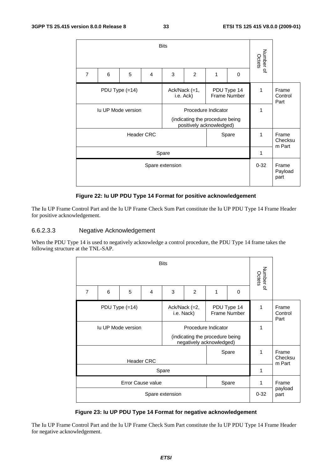|                                                                               | <b>Bits</b>                                                 |                            |                |       |                |   |   |                     |                          |  |  |
|-------------------------------------------------------------------------------|-------------------------------------------------------------|----------------------------|----------------|-------|----------------|---|---|---------------------|--------------------------|--|--|
| $\overline{7}$                                                                | 6                                                           | 5                          | $\overline{4}$ | 3     | $\overline{2}$ | 1 | 0 | Number of<br>Octets |                          |  |  |
| PDU Type 14<br>PDU Type $(=14)$<br>Ack/Nack (=1,<br>Frame Number<br>i.e. Ack) |                                                             |                            |                |       |                |   |   | 1                   | Frame<br>Control<br>Part |  |  |
| <b>Iu UP Mode version</b>                                                     | 1                                                           |                            |                |       |                |   |   |                     |                          |  |  |
|                                                                               | (indicating the procedure being<br>positively acknowledged) |                            |                |       |                |   |   |                     |                          |  |  |
|                                                                               | 1                                                           | Frame<br>Checksu<br>m Part |                |       |                |   |   |                     |                          |  |  |
|                                                                               |                                                             |                            |                | Spare |                |   |   | 1                   |                          |  |  |
|                                                                               | $0 - 32$                                                    | Frame<br>Payload<br>part   |                |       |                |   |   |                     |                          |  |  |

#### **Figure 22: Iu UP PDU Type 14 Format for positive acknowledgement**

The Iu UP Frame Control Part and the Iu UP Frame Check Sum Part constitute the Iu UP PDU Type 14 Frame Header for positive acknowledgement.

#### 6.6.2.3.3 Negative Acknowledgement

When the PDU Type 14 is used to negatively acknowledge a control procedure, the PDU Type 14 frame takes the following structure at the TNL-SAP.

|                                                 |                           | Number of<br>Octets |                   |                     |                                                             |   |                                    |          |                          |
|-------------------------------------------------|---------------------------|---------------------|-------------------|---------------------|-------------------------------------------------------------|---|------------------------------------|----------|--------------------------|
| $\overline{7}$                                  | 6                         | 5                   | $\overline{4}$    | 3                   | 2                                                           | 1 | 0                                  |          |                          |
| PDU Type $(=14)$<br>Ack/Nack (=2,<br>i.e. Nack) |                           |                     |                   |                     |                                                             |   | PDU Type 14<br><b>Frame Number</b> | 1        | Frame<br>Control<br>Part |
|                                                 | <b>Iu UP Mode version</b> |                     |                   | Procedure Indicator |                                                             | 1 |                                    |          |                          |
|                                                 |                           |                     |                   |                     | (indicating the procedure being<br>negatively acknowledged) |   |                                    |          |                          |
|                                                 |                           |                     |                   |                     |                                                             |   | Spare                              | 1        | Frame                    |
|                                                 |                           |                     | <b>Header CRC</b> |                     |                                                             |   |                                    |          | Checksu<br>m Part        |
|                                                 |                           |                     |                   | Spare               |                                                             |   |                                    | 1        |                          |
| Error Cause value<br>Spare                      |                           |                     |                   |                     |                                                             |   |                                    |          | Frame                    |
|                                                 |                           |                     |                   | Spare extension     |                                                             |   |                                    | $0 - 32$ | payload<br>part          |

#### **Figure 23: Iu UP PDU Type 14 Format for negative acknowledgement**

The Iu UP Frame Control Part and the Iu UP Frame Check Sum Part constitute the Iu UP PDU Type 14 Frame Header for negative acknowledgement.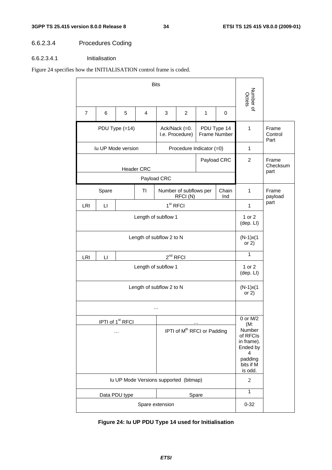# 6.6.2.3.4 Procedures Coding

### 6.6.2.3.4.1 Initialisation

### Figure 24 specifies how the INITIALISATION control frame is coded.

|                                                 |                                                                  |                                          |                          | Number of<br>Octets |                                         |       |                                                                                                         |                        |                           |
|-------------------------------------------------|------------------------------------------------------------------|------------------------------------------|--------------------------|---------------------|-----------------------------------------|-------|---------------------------------------------------------------------------------------------------------|------------------------|---------------------------|
| $\overline{7}$                                  | 6                                                                | 5                                        | 4                        | 3                   | $\overline{c}$                          | 1     | 0                                                                                                       |                        |                           |
|                                                 |                                                                  | PDU Type (=14)                           |                          |                     | Ack/Nack (=0.<br>I.e. Procedure)        |       | PDU Type 14<br>Frame Number                                                                             | $\mathbf{1}$           | Frame<br>Control<br>Part  |
|                                                 | <b>Iu UP Mode version</b>                                        |                                          |                          |                     | Procedure Indicator (=0)                |       |                                                                                                         | 1                      |                           |
| Payload CRC<br><b>Header CRC</b><br>Payload CRC |                                                                  |                                          |                          |                     |                                         |       |                                                                                                         |                        | Frame<br>Checksum<br>part |
|                                                 |                                                                  |                                          |                          |                     |                                         |       |                                                                                                         |                        |                           |
|                                                 | Number of subflows per<br>Spare<br>ΤI<br>Chain<br>RFCI(N)<br>Ind |                                          |                          |                     |                                         |       |                                                                                                         |                        | Frame<br>payload          |
| LRI                                             | П                                                                |                                          |                          | $1st$ RFCI          |                                         |       |                                                                                                         | $\mathbf{1}$           | part                      |
|                                                 |                                                                  |                                          | 1 or 2<br>(dep. Ll)      |                     |                                         |       |                                                                                                         |                        |                           |
|                                                 |                                                                  |                                          | $(N-1)x(1)$<br>or $2)$   |                     |                                         |       |                                                                                                         |                        |                           |
| LRI                                             | $\mathsf{L}\mathsf{I}$                                           |                                          |                          | $2nd$ RFCI          |                                         |       |                                                                                                         | 1                      |                           |
|                                                 |                                                                  |                                          | Length of subflow 1      |                     |                                         |       |                                                                                                         | 1 or 2<br>(dep. Ll)    |                           |
|                                                 |                                                                  |                                          | Length of subflow 2 to N |                     |                                         |       |                                                                                                         | $(N-1)x(1)$<br>or $2)$ |                           |
|                                                 |                                                                  |                                          |                          | $\cdots$            |                                         |       |                                                                                                         |                        |                           |
|                                                 |                                                                  | IPTI of 1 <sup>st</sup> RFCI<br>$\cdots$ |                          |                     | IPTI of M <sup>th</sup> RFCI or Padding |       | 0 or M/2<br>(M:<br>Number<br>of RFCIs<br>in frame).<br>Ended by<br>4<br>padding<br>bits if M<br>is odd. |                        |                           |
| Iu UP Mode Versions supported (bitmap)          |                                                                  |                                          |                          |                     |                                         |       |                                                                                                         |                        |                           |
|                                                 |                                                                  | Data PDU type                            |                          |                     |                                         | Spare |                                                                                                         | $\mathbf{1}$           |                           |
|                                                 |                                                                  |                                          |                          | Spare extension     |                                         |       |                                                                                                         | $0 - 32$               |                           |

# **Figure 24: Iu UP PDU Type 14 used for Initialisation**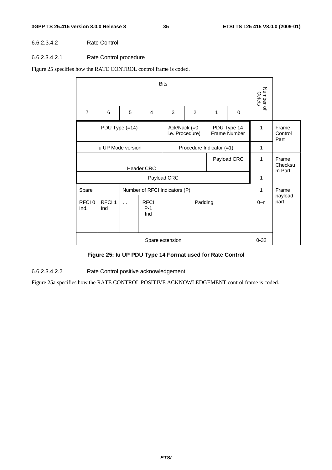#### 6.6.2.3.4.2 Rate Control

#### 6.6.2.3.4.2.1 Rate Control procedure

Figure 25 specifies how the RATE CONTROL control frame is coded.

|                                                                                   |                          |                            | Number of<br>Octets         |                               |                |         |                 |          |                          |
|-----------------------------------------------------------------------------------|--------------------------|----------------------------|-----------------------------|-------------------------------|----------------|---------|-----------------|----------|--------------------------|
| $\overline{7}$                                                                    | 6                        | 5                          | $\overline{4}$              | 3                             | $\overline{2}$ | 1       | 0               |          |                          |
| PDU Type 14<br>PDU Type (=14)<br>Ack/Nack (=0,<br>Frame Number<br>i.e. Procedure) |                          |                            |                             |                               |                |         |                 |          | Frame<br>Control<br>Part |
| <b>Iu UP Mode version</b>                                                         | 1                        |                            |                             |                               |                |         |                 |          |                          |
|                                                                                   | 1                        | Frame<br>Checksu<br>m Part |                             |                               |                |         |                 |          |                          |
|                                                                                   |                          |                            |                             | Payload CRC                   |                |         |                 | 1        |                          |
| Spare                                                                             |                          |                            |                             | Number of RFCI Indicators (P) |                |         |                 | 1        | Frame                    |
| RFCI <sub>0</sub><br>Ind.                                                         | RFCI <sub>1</sub><br>Ind | $\ddotsc$                  | <b>RFCI</b><br>$P-1$<br>Ind |                               | Padding        | $0 - n$ | payload<br>part |          |                          |
|                                                                                   |                          |                            |                             | Spare extension               |                |         |                 | $0 - 32$ |                          |

### **Figure 25: Iu UP PDU Type 14 Format used for Rate Control**

6.6.2.3.4.2.2 Rate Control positive acknowledgement

Figure 25a specifies how the RATE CONTROL POSITIVE ACKNOWLEDGEMENT control frame is coded.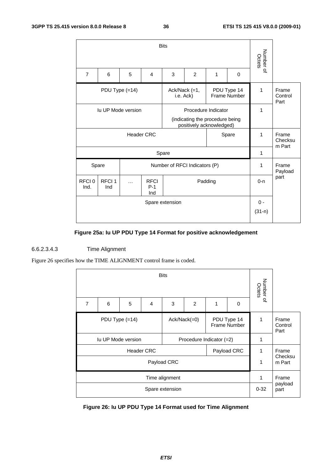|                                                                               |                          |                            | Number of<br>Octets         |                               |         |         |          |              |                          |
|-------------------------------------------------------------------------------|--------------------------|----------------------------|-----------------------------|-------------------------------|---------|---------|----------|--------------|--------------------------|
| $\overline{7}$                                                                | 6                        | 5                          | 4                           | 3                             | 2       | 1       | $\Omega$ |              |                          |
| PDU Type (=14)<br>PDU Type 14<br>Ack/Nack $(=1,$<br>Frame Number<br>i.e. Ack) |                          |                            |                             |                               |         |         |          |              | Frame<br>Control<br>Part |
| lu UP Mode version                                                            | 1                        |                            |                             |                               |         |         |          |              |                          |
|                                                                               | 1                        | Frame<br>Checksu<br>m Part |                             |                               |         |         |          |              |                          |
|                                                                               |                          |                            |                             | Spare                         |         |         |          | $\mathbf{1}$ |                          |
|                                                                               | Spare                    |                            |                             | Number of RFCI Indicators (P) |         |         |          | 1            | Frame<br>Payload         |
| RFCI <sub>0</sub><br>Ind.                                                     | RFCI <sub>1</sub><br>Ind | .                          | <b>RFCI</b><br>$P-1$<br>Ind |                               | Padding | $0 - n$ | part     |              |                          |
|                                                                               | $0 -$<br>$(31-n)$        |                            |                             |                               |         |         |          |              |                          |

# **Figure 25a: Iu UP PDU Type 14 Format for positive acknowledgement**

### 6.6.2.3.4.3 Time Alignment

Figure 26 specifies how the TIME ALIGNMENT control frame is coded.

|                          | Number of<br>Octets | <b>Bits</b>                                           |   |   |                 |                  |   |   |                |
|--------------------------|---------------------|-------------------------------------------------------|---|---|-----------------|------------------|---|---|----------------|
|                          |                     | 0                                                     | 1 | 2 | 3               | $\overline{4}$   | 5 | 6 | $\overline{7}$ |
| Frame<br>Control<br>Part | 1                   | PDU Type 14<br>$Ack/Nack(=0)$<br>Frame Number         |   |   |                 | PDU Type $(=14)$ |   |   |                |
|                          | 1                   | <b>Iu UP Mode version</b><br>Procedure Indicator (=2) |   |   |                 |                  |   |   |                |
| Frame                    | 1                   | <b>Header CRC</b><br>Payload CRC                      |   |   |                 |                  |   |   |                |
| Checksu<br>m Part        | 1                   | Payload CRC                                           |   |   |                 |                  |   |   |                |
| Frame                    | 1                   | Time alignment                                        |   |   |                 |                  |   |   |                |
| payload<br>part          | $0 - 32$            |                                                       |   |   | Spare extension |                  |   |   |                |

**Figure 26: Iu UP PDU Type 14 Format used for Time Alignment**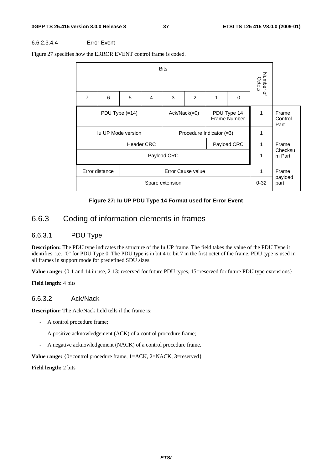#### 6.6.2.3.4.4 Error Event

Figure 27 specifies how the ERROR EVENT control frame is coded.



#### **Figure 27: Iu UP PDU Type 14 Format used for Error Event**

# 6.6.3 Coding of information elements in frames

### 6.6.3.1 PDU Type

**Description:** The PDU type indicates the structure of the Iu UP frame. The field takes the value of the PDU Type it identifies: i.e. "0" for PDU Type 0. The PDU type is in bit 4 to bit 7 in the first octet of the frame. PDU type is used in all frames in support mode for predefined SDU sizes.

**Value range:** {0-1 and 14 in use, 2-13: reserved for future PDU types, 15=reserved for future PDU type extensions}

**Field length:** 4 bits

### 6.6.3.2 Ack/Nack

**Description:** The Ack/Nack field tells if the frame is:

- A control procedure frame;
- A positive acknowledgement (ACK) of a control procedure frame;
- A negative acknowledgement (NACK) of a control procedure frame.

**Value range:** {0=control procedure frame, 1=ACK, 2=NACK, 3=reserved}

**Field length:** 2 bits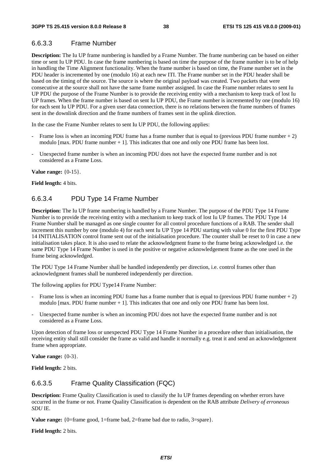# 6.6.3.3 Frame Number

**Description:** The Iu UP frame numbering is handled by a Frame Number. The frame numbering can be based on either time or sent Iu UP PDU. In case the frame numbering is based on time the purpose of the frame number is to be of help in handling the Time Alignment functionality. When the frame number is based on time, the Frame number set in the PDU header is incremented by one (modulo 16) at each new ITI. The Frame number set in the PDU header shall be based on the timing of the source. The source is where the original payload was created. Two packets that were consecutive at the source shall not have the same frame number assigned. In case the Frame number relates to sent Iu UP PDU the purpose of the Frame Number is to provide the receiving entity with a mechanism to keep track of lost Iu UP frames. When the frame number is based on sent Iu UP PDU, the Frame number is incremented by one (modulo 16) for each sent Iu UP PDU. For a given user data connection, there is no relations between the frame numbers of frames sent in the downlink direction and the frame numbers of frames sent in the uplink direction.

In the case the Frame Number relates to sent Iu UP PDU, the following applies:

- Frame loss is when an incoming PDU frame has a frame number that is equal to (previous PDU frame number  $+ 2$ ) modulo [max. PDU frame number + 1]. This indicates that one and only one PDU frame has been lost.
- Unexpected frame number is when an incoming PDU does not have the expected frame number and is not considered as a Frame Loss.

**Value range:** {0-15}.

**Field length:** 4 bits.

### 6.6.3.4 PDU Type 14 Frame Number

**Description:** The Iu UP frame numbering is handled by a Frame Number. The purpose of the PDU Type 14 Frame Number is to provide the receiving entity with a mechanism to keep track of lost Iu UP frames. The PDU Type 14 Frame Number shall be managed as one single counter for all control procedure functions of a RAB. The sender shall increment this number by one (modulo 4) for each sent Iu UP Type 14 PDU starting with value 0 for the first PDU Type 14 INITIALISATION control frame sent out of the initialisation procedure. The counter shall be reset to 0 in case a new initialisation takes place. It is also used to relate the acknowledgment frame to the frame being acknowledged i.e. the same PDU Type 14 Frame Number is used in the positive or negative acknowledgement frame as the one used in the frame being acknowledged.

The PDU Type 14 Frame Number shall be handled independently per direction, i.e. control frames other than acknowledgment frames shall be numbered independently per direction.

The following applies for PDU Type14 Frame Number:

- Frame loss is when an incoming PDU frame has a frame number that is equal to (previous PDU frame number  $+ 2$ ) modulo [max. PDU frame number + 1]. This indicates that one and only one PDU frame has been lost.
- Unexpected frame number is when an incoming PDU does not have the expected frame number and is not considered as a Frame Loss.

Upon detection of frame loss or unexpected PDU Type 14 Frame Number in a procedure other than initialisation, the receiving entity shall still consider the frame as valid and handle it normally e.g. treat it and send an acknowledgement frame when appropriate.

**Value range:** {0-3}.

**Field length:** 2 bits.

### 6.6.3.5 Frame Quality Classification (FQC)

**Description:** Frame Quality Classification is used to classify the Iu UP frames depending on whether errors have occurred in the frame or not. Frame Quality Classification is dependent on the RAB attribute *Delivery of erroneous SDU* IE.

**Value range:** {0=frame good, 1=frame bad, 2=frame bad due to radio, 3=spare}.

**Field length:** 2 bits.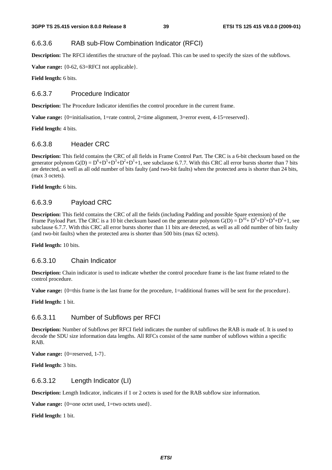### 6.6.3.6 RAB sub-Flow Combination Indicator (RFCI)

**Description:** The RFCI identifies the structure of the payload. This can be used to specify the sizes of the subflows.

**Value range:** {0-62, 63=RFCI not applicable}.

**Field length:** 6 bits.

#### 6.6.3.7 Procedure Indicator

**Description:** The Procedure Indicator identifies the control procedure in the current frame.

**Value range:** {0=initialisation, 1=rate control, 2=time alignment, 3=error event, 4-15=reserved}.

**Field length:** 4 bits.

### 6.6.3.8 Header CRC

**Description:** This field contains the CRC of all fields in Frame Control Part. The CRC is a 6-bit checksum based on the generator polynom  $G(D) = D^6 + D^5 + D^3 + D^2 + D^1 + 1$ , see subclause 6.7.7. With this CRC all error bursts shorter than 7 bits are detected, as well as all odd number of bits faulty (and two-bit faults) when the protected area is shorter than 24 bits, (max 3 octets).

**Field length:** 6 bits.

#### 6.6.3.9 Payload CRC

**Description:** This field contains the CRC of all the fields (including Padding and possible Spare extension) of the Frame Payload Part. The CRC is a 10 bit checksum based on the generator polynom  $G(D) = D^{10} + D^9 + D^5 + D^4 + D^1 + 1$ , see subclause 6.7.7. With this CRC all error bursts shorter than 11 bits are detected, as well as all odd number of bits faulty (and two-bit faults) when the protected area is shorter than 500 bits (max 62 octets).

**Field length:** 10 bits.

#### 6.6.3.10 Chain Indicator

**Description:** Chain indicator is used to indicate whether the control procedure frame is the last frame related to the control procedure.

**Value range:** {0=this frame is the last frame for the procedure, 1=additional frames will be sent for the procedure}.

**Field length:** 1 bit.

### 6.6.3.11 Number of Subflows per RFCI

**Description:** Number of Subflows per RFCI field indicates the number of subflows the RAB is made of. It is used to decode the SDU size information data lengths. All RFCs consist of the same number of subflows within a specific RAB.

**Value range:** {0=reserved, 1-7}.

**Field length:** 3 bits.

### 6.6.3.12 Length Indicator (LI)

**Description:** Length Indicator, indicates if 1 or 2 octets is used for the RAB subflow size information.

**Value range:** {0=one octet used, 1=two octets used}.

**Field length:** 1 bit.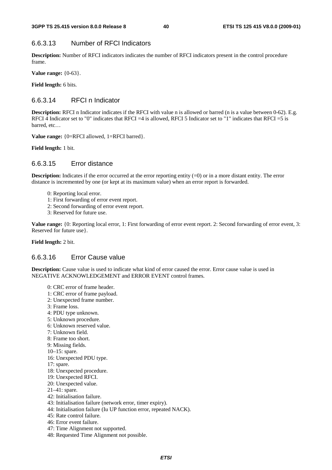# 6.6.3.13 Number of RFCI Indicators

**Description:** Number of RFCI indicators indicates the number of RFCI indicators present in the control procedure frame.

**Value range:** {0-63}.

**Field length:** 6 bits.

# 6.6.3.14 RFCI n Indicator

**Description:** RFCI n Indicator indicates if the RFCI with value n is allowed or barred (n is a value between 0-62). E.g. RFCI 4 Indicator set to "0" indicates that RFCI =4 is allowed, RFCI 5 Indicator set to "1" indicates that RFCI =5 is barred, etc…

**Value range:** {0=RFCI allowed, 1=RFCI barred}.

**Field length:** 1 bit.

# 6.6.3.15 Error distance

**Description:** Indicates if the error occurred at the error reporting entity (=0) or in a more distant entity. The error distance is incremented by one (or kept at its maximum value) when an error report is forwarded.

- 0: Reporting local error.
- 1: First forwarding of error event report.
- 2: Second forwarding of error event report.
- 3: Reserved for future use.

**Value range:** {0: Reporting local error, 1: First forwarding of error event report. 2: Second forwarding of error event, 3: Reserved for future use}.

**Field length:** 2 bit.

### 6.6.3.16 Error Cause value

**Description:** Cause value is used to indicate what kind of error caused the error. Error cause value is used in NEGATIVE ACKNOWLEDGEMENT and ERROR EVENT control frames.

- 0: CRC error of frame header.
- 1: CRC error of frame payload.
- 2: Unexpected frame number.
- 3: Frame loss.
- 4: PDU type unknown.
- 5: Unknown procedure.
- 6: Unknown reserved value.
- 7: Unknown field.
- 8: Frame too short.
- 9: Missing fields.
- 10–15: spare.
- 16: Unexpected PDU type.
- 17: spare.
- 18: Unexpected procedure.
- 19: Unexpected RFCI.
- 20: Unexpected value.
- 21–41: spare.
- 42: Initialisation failure.
- 43: Initialisation failure (network error, timer expiry).
- 44: Initialisation failure (Iu UP function error, repeated NACK).
- 45: Rate control failure.
- 46: Error event failure.
- 47: Time Alignment not supported.
- 48: Requested Time Alignment not possible.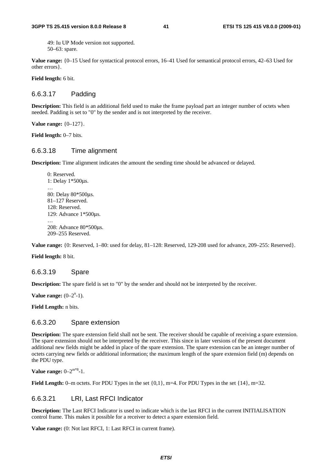49: Iu UP Mode version not supported. 50–63: spare.

**Value range:** {0–15 Used for syntactical protocol errors, 16–41 Used for semantical protocol errors, 42–63 Used for other errors}.

**Field length:** 6 bit.

### 6.6.3.17 Padding

**Description:** This field is an additional field used to make the frame payload part an integer number of octets when needed. Padding is set to "0" by the sender and is not interpreted by the receiver.

**Value range:** {0–127}.

**Field length:** 0–7 bits.

### 6.6.3.18 Time alignment

**Description:** Time alignment indicates the amount the sending time should be advanced or delayed.

 0: Reserved. 1: Delay 1\*500μs. … 80: Delay 80\*500μs. 81–127 Reserved. 128: Reserved. 129: Advance 1\*500μs. … 208: Advance 80\*500μs. 209–255 Reserved.

**Value range:** {0: Reserved, 1–80: used for delay, 81–128: Reserved, 129-208 used for advance, 209–255: Reserved}.

**Field length:** 8 bit.

#### 6.6.3.19 Spare

**Description:** The spare field is set to "0" by the sender and should not be interpreted by the receiver.

**Value range:**  $(0-2^{n}-1)$ .

**Field Length:** n bits.

### 6.6.3.20 Spare extension

**Description:** The spare extension field shall not be sent. The receiver should be capable of receiving a spare extension. The spare extension should not be interpreted by the receiver. This since in later versions of the present document additional new fields might be added in place of the spare extension. The spare extension can be an integer number of octets carrying new fields or additional information; the maximum length of the spare extension field (m) depends on the PDU type.

**Value range:**  $0-2^{m*8}-1$ .

Field Length: 0–m octets. For PDU Types in the set  $\{0,1\}$ , m=4. For PDU Types in the set  $\{14\}$ , m=32.

### 6.6.3.21 LRI, Last RFCI Indicator

**Description:** The Last RFCI Indicator is used to indicate which is the last RFCI in the current INITIALISATION control frame. This makes it possible for a receiver to detect a spare extension field.

**Value range:** (0: Not last RFCI, 1: Last RFCI in current frame).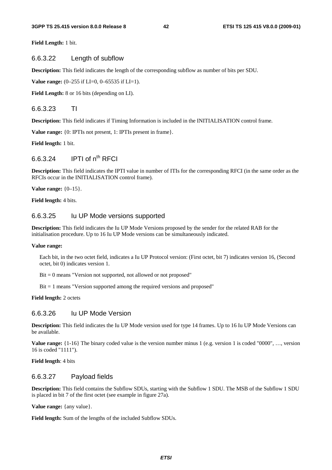**Field Length:** 1 bit.

#### 6.6.3.22 Length of subflow

**Description:** This field indicates the length of the corresponding subflow as number of bits per SDU.

**Value range:** (0–255 if LI=0, 0–65535 if LI=1).

**Field Length:** 8 or 16 bits (depending on LI).

#### 6.6.3.23 TI

**Description:** This field indicates if Timing Information is included in the INITIALISATION control frame.

**Value range:** {0: IPTIs not present, 1: IPTIs present in frame}.

**Field length:** 1 bit.

# $6.6.3.24$  IPTI of  $n^{th}$  RFCI

**Description:** This field indicates the IPTI value in number of ITIs for the corresponding RFCI (in the same order as the RFCIs occur in the INITIALISATION control frame).

**Value range:** {0–15}.

**Field length:** 4 bits.

#### 6.6.3.25 Iu UP Mode versions supported

**Description:** This field indicates the Iu UP Mode Versions proposed by the sender for the related RAB for the initialisation procedure. Up to 16 Iu UP Mode versions can be simultaneously indicated.

#### **Value range:**

Each bit, in the two octet field, indicates a Iu UP Protocol version: (First octet, bit 7) indicates version 16, (Second octet, bit 0) indicates version 1.

Bit = 0 means "Version not supported, not allowed or not proposed"

Bit = 1 means "Version supported among the required versions and proposed"

**Field length:** 2 octets

### 6.6.3.26 Iu UP Mode Version

**Description:** This field indicates the Iu UP Mode version used for type 14 frames. Up to 16 Iu UP Mode Versions can be available.

**Value range:**  $\{1-16\}$  The binary coded value is the version number minus 1 (e.g. version 1 is coded "0000", ..., version 16 is coded "1111").

**Field length**: 4 bits

### 6.6.3.27 Payload fields

**Description:** This field contains the Subflow SDUs, starting with the Subflow 1 SDU. The MSB of the Subflow 1 SDU is placed in bit 7 of the first octet (see example in figure 27a).

**Value range:** {any value}.

**Field length:** Sum of the lengths of the included Subflow SDUs.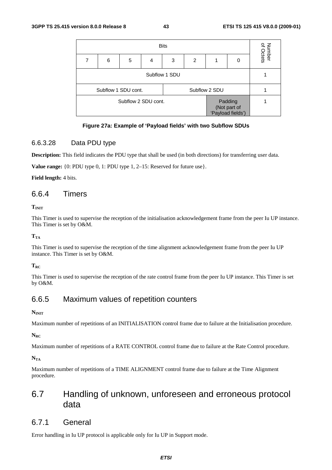| <b>Bits</b>         |                                      |  |  |  |  | Number<br>of Octets                          |  |
|---------------------|--------------------------------------|--|--|--|--|----------------------------------------------|--|
| 7                   | 6<br>5<br>2<br>3<br>0<br>4           |  |  |  |  |                                              |  |
|                     | Subflow 1 SDU                        |  |  |  |  |                                              |  |
|                     | Subflow 1 SDU cont.<br>Subflow 2 SDU |  |  |  |  |                                              |  |
| Subflow 2 SDU cont. |                                      |  |  |  |  | Padding<br>(Not part of<br>'Payload fields') |  |

### **Figure 27a: Example of 'Payload fields' with two Subflow SDUs**

### 6.6.3.28 Data PDU type

**Description:** This field indicates the PDU type that shall be used (in both directions) for transferring user data.

**Value range:** {0: PDU type 0, 1: PDU type 1, 2–15: Reserved for future use}.

**Field length:** 4 bits.

### 6.6.4 Timers

 $T<sub>INT</sub>$ 

This Timer is used to supervise the reception of the initialisation acknowledgement frame from the peer Iu UP instance. This Timer is set by O&M.

 $T_{TA}$ 

This Timer is used to supervise the reception of the time alignment acknowledgement frame from the peer Iu UP instance. This Timer is set by O&M.

**TRC** 

This Timer is used to supervise the reception of the rate control frame from the peer Iu UP instance. This Timer is set by O&M.

# 6.6.5 Maximum values of repetition counters

#### $N<sub>INIT</sub>$

Maximum number of repetitions of an INITIALISATION control frame due to failure at the Initialisation procedure.

 $N_{\rm RC}$ 

Maximum number of repetitions of a RATE CONTROL control frame due to failure at the Rate Control procedure.

 $N_{TA}$ 

Maximum number of repetitions of a TIME ALIGNMENT control frame due to failure at the Time Alignment procedure.

# 6.7 Handling of unknown, unforeseen and erroneous protocol data

### 6.7.1 General

Error handling in Iu UP protocol is applicable only for Iu UP in Support mode.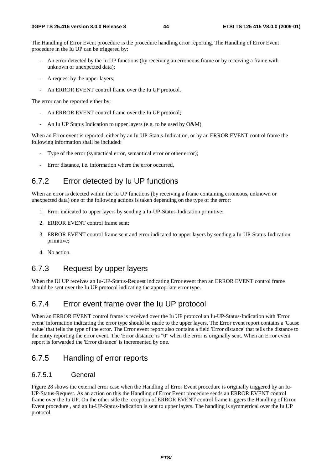The Handling of Error Event procedure is the procedure handling error reporting. The Handling of Error Event procedure in the Iu UP can be triggered by:

- An error detected by the Iu UP functions (by receiving an erroneous frame or by receiving a frame with unknown or unexpected data);
- A request by the upper layers;
- An ERROR EVENT control frame over the Iu UP protocol.

The error can be reported either by:

- An ERROR EVENT control frame over the Iu UP protocol;
- An Iu UP Status Indication to upper layers (e.g. to be used by O&M).

When an Error event is reported, either by an Iu-UP-Status-Indication, or by an ERROR EVENT control frame the following information shall be included:

- Type of the error (syntactical error, semantical error or other error);
- Error distance, i.e. information where the error occurred.

# 6.7.2 Error detected by Iu UP functions

When an error is detected within the Iu UP functions (by receiving a frame containing erroneous, unknown or unexpected data) one of the following actions is taken depending on the type of the error:

- 1. Error indicated to upper layers by sending a Iu-UP-Status-Indication primitive;
- 2. ERROR EVENT control frame sent;
- 3. ERROR EVENT control frame sent and error indicated to upper layers by sending a Iu-UP-Status-Indication primitive;
- 4. No action.

# 6.7.3 Request by upper layers

When the IU UP receives an Iu-UP-Status-Request indicating Error event then an ERROR EVENT control frame should be sent over the Iu UP protocol indicating the appropriate error type.

# 6.7.4 Error event frame over the Iu UP protocol

When an ERROR EVENT control frame is received over the Iu UP protocol an Iu-UP-Status-Indication with 'Error event' information indicating the error type should be made to the upper layers. The Error event report contains a 'Cause value' that tells the type of the error. The Error event report also contains a field 'Error distance' that tells the distance to the entity reporting the error event. The 'Error distance' is "0" when the error is originally sent. When an Error event report is forwarded the 'Error distance' is incremented by one.

# 6.7.5 Handling of error reports

#### 6.7.5.1 General

Figure 28 shows the external error case when the Handling of Error Event procedure is originally triggered by an Iu-UP-Status-Request. As an action on this the Handling of Error Event procedure sends an ERROR EVENT control frame over the Iu UP. On the other side the reception of ERROR EVENT control frame triggers the Handling of Error Event procedure , and an Iu-UP-Status-Indication is sent to upper layers. The handling is symmetrical over the Iu UP protocol.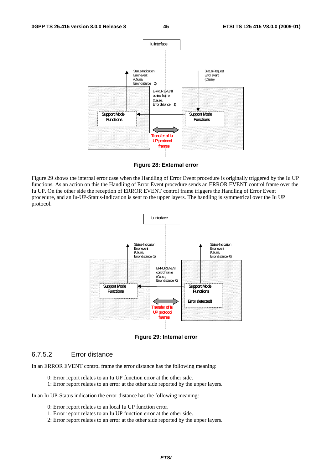

**Figure 28: External error** 

Figure 29 shows the internal error case when the Handling of Error Event procedure is originally triggered by the Iu UP functions. As an action on this the Handling of Error Event procedure sends an ERROR EVENT control frame over the Iu UP. On the other side the reception of ERROR EVENT control frame triggers the Handling of Error Event procedure, and an Iu-UP-Status-Indication is sent to the upper layers. The handling is symmetrical over the Iu UP protocol.



**Figure 29: Internal error** 

### 6.7.5.2 Error distance

In an ERROR EVENT control frame the error distance has the following meaning:

- 0: Error report relates to an Iu UP function error at the other side.
- 1: Error report relates to an error at the other side reported by the upper layers.

In an Iu UP-Status indication the error distance has the following meaning:

- 0: Error report relates to an local Iu UP function error.
- 1: Error report relates to an Iu UP function error at the other side.
- 2: Error report relates to an error at the other side reported by the upper layers.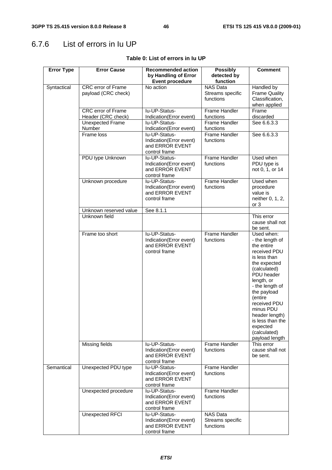# 6.7.6 List of errors in Iu UP

| <b>Error Type</b> | <b>Error Cause</b>                               | <b>Recommended action</b>                                                    | <b>Possibly</b>                                  | <b>Comment</b>                                                                                                                                                                                                                                                                                        |
|-------------------|--------------------------------------------------|------------------------------------------------------------------------------|--------------------------------------------------|-------------------------------------------------------------------------------------------------------------------------------------------------------------------------------------------------------------------------------------------------------------------------------------------------------|
|                   |                                                  | by Handling of Error                                                         | detected by                                      |                                                                                                                                                                                                                                                                                                       |
|                   |                                                  | <b>Event procedure</b>                                                       | function                                         |                                                                                                                                                                                                                                                                                                       |
| Syntactical       | <b>CRC</b> error of Frame<br>payload (CRC check) | No action                                                                    | <b>NAS Data</b><br>Streams specific<br>functions | Handled by<br><b>Frame Quality</b><br>Classification,<br>when applied                                                                                                                                                                                                                                 |
|                   | <b>CRC</b> error of Frame                        | lu-UP-Status-                                                                | Frame Handler                                    | Frame                                                                                                                                                                                                                                                                                                 |
|                   | Header (CRC check)                               | Indication(Error event)                                                      | functions                                        | discarded                                                                                                                                                                                                                                                                                             |
|                   | <b>Unexpected Frame</b><br><b>Number</b>         | lu-UP-Status-<br>Indication(Error event)                                     | <b>Frame Handler</b><br>functions                | See 6.6.3.3                                                                                                                                                                                                                                                                                           |
|                   | Frame loss                                       | lu-UP-Status-<br>Indication(Error event)<br>and ERROR EVENT<br>control frame | <b>Frame Handler</b><br>functions                | See 6.6.3.3                                                                                                                                                                                                                                                                                           |
|                   | PDU type Unknown                                 | lu-UP-Status-<br>Indication(Error event)<br>and ERROR EVENT<br>control frame | Frame Handler<br>functions                       | Used when<br>PDU type is<br>not 0, 1, or 14                                                                                                                                                                                                                                                           |
|                   | Unknown procedure                                | lu-UP-Status-<br>Indication(Error event)<br>and ERROR EVENT<br>control frame | <b>Frame Handler</b><br>functions                | Used when<br>procedure<br>value is<br>neither 0, 1, 2,<br>or <sub>3</sub>                                                                                                                                                                                                                             |
|                   | Unknown reserved value                           | See 8.1.1                                                                    |                                                  |                                                                                                                                                                                                                                                                                                       |
|                   | Unknown field                                    |                                                                              |                                                  | This error<br>cause shall not<br>be sent.                                                                                                                                                                                                                                                             |
|                   | Frame too short                                  | lu-UP-Status-<br>Indication(Error event)<br>and ERROR EVENT<br>control frame | <b>Frame Handler</b><br>functions                | Used when:<br>- the length of<br>the entire<br>received PDU<br>is less than<br>the expected<br>(calculated)<br>PDU header<br>length, or<br>- the length of<br>the payload<br>(entire<br>received PDU<br>minus PDU<br>header length)<br>is less than the<br>expected<br>(calculated)<br>payload length |
|                   | Missing fields                                   | lu-UP-Status-<br>Indication(Error event)<br>and ERROR EVENT<br>control frame | <b>Frame Handler</b><br>functions                | This error<br>cause shall not<br>be sent.                                                                                                                                                                                                                                                             |
| Semantical        | Unexpected PDU type                              | lu-UP-Status-<br>Indication(Error event)<br>and ERROR EVENT<br>control frame | Frame Handler<br>functions                       |                                                                                                                                                                                                                                                                                                       |
|                   | Unexpected procedure                             | lu-UP-Status-<br>Indication(Error event)<br>and ERROR EVENT<br>control frame | <b>Frame Handler</b><br>functions                |                                                                                                                                                                                                                                                                                                       |
|                   | Unexpected RFCI                                  | lu-UP-Status-<br>Indication(Error event)<br>and ERROR EVENT<br>control frame | <b>NAS Data</b><br>Streams specific<br>functions |                                                                                                                                                                                                                                                                                                       |

#### **Table 0: List of errors in Iu UP**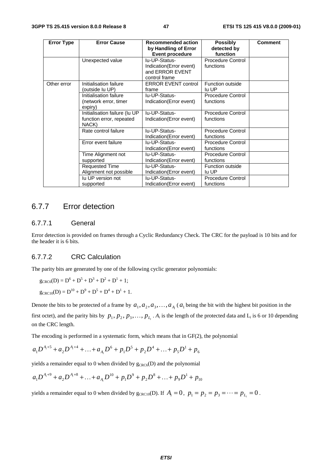| <b>Error Type</b> | <b>Error Cause</b>            | <b>Recommended action</b><br>by Handling of Error | <b>Possibly</b><br>detected by | <b>Comment</b> |
|-------------------|-------------------------------|---------------------------------------------------|--------------------------------|----------------|
|                   |                               | <b>Event procedure</b>                            | function                       |                |
|                   | Unexpected value              | lu-UP-Status-                                     | <b>Procedure Control</b>       |                |
|                   |                               | Indication(Error event)<br>and ERROR EVENT        | functions                      |                |
|                   |                               | control frame                                     |                                |                |
| Other error       | Initialisation failure        | <b>ERROR EVENT control</b>                        | Function outside               |                |
|                   | (outside lu UP)               | frame                                             | lu UP                          |                |
|                   | Initialisation failure        | lu-UP-Status-                                     | Procedure Control              |                |
|                   | (network error, timer         | Indication(Error event)                           | functions                      |                |
|                   | expiry)                       |                                                   |                                |                |
|                   | Initialisation failure (lu UP | lu-UP-Status-                                     | Procedure Control              |                |
|                   | function error, repeated      | Indication (Error event)                          | functions                      |                |
|                   | NACK)                         |                                                   |                                |                |
|                   | Rate control failure          | lu-UP-Status-                                     | Procedure Control              |                |
|                   |                               | Indication (Error event)                          | functions                      |                |
|                   | Error event failure           | lu-UP-Status-                                     | <b>Procedure Control</b>       |                |
|                   |                               | Indication (Error event)                          | functions                      |                |
|                   | Time Alignment not            | lu-UP-Status-                                     | Procedure Control              |                |
|                   | supported                     | Indication (Error event)                          | functions                      |                |
|                   | <b>Requested Time</b>         | lu-UP-Status-                                     | Function outside               |                |
|                   | Alignment not possible        | Indication (Error event)                          | lu UP                          |                |
|                   | lu UP version not             | lu-UP-Status-                                     | Procedure Control              |                |
|                   | supported                     | Indication (Error event)                          | functions                      |                |

# 6.7.7 Error detection

### 6.7.7.1 General

Error detection is provided on frames through a Cyclic Redundancy Check. The CRC for the payload is 10 bits and for the header it is 6 bits.

### 6.7.7.2 CRC Calculation

The parity bits are generated by one of the following cyclic generator polynomials:

$$
g_{CRC6}(D) = D6 + D5 + D3 + D2 + D1 + 1;
$$
  

$$
g_{CRC10}(D) = D10 + D9 + D5 + D4 + D1 + 1.
$$

Denote the bits to be protected of a frame by  $a_1, a_2, a_3, \ldots, a_{A_i}$  ( $a_1$  being the bit with the highest bit position in the

first octet), and the parity bits by  $p_1, p_2, p_3, \ldots, p_{L_i}$ .  $A_i$  is the length of the protected data and  $L_i$  is 6 or 10 depending on the CRC length.

The encoding is performed in a systematic form, which means that in GF(2), the polynomial

$$
a_1D^{A_1+5} + a_2D^{A_1+4} + \ldots + a_{A_i}D^6 + p_1D^5 + p_2D^4 + \ldots + p_5D^1 + p_6
$$

yields a remainder equal to 0 when divided by  $g_{CRC6}(D)$  and the polynomial

$$
a_1D^{A_1+9} + a_2D^{A_1+8} + \ldots + a_{A_i}D^{10} + p_1D^9 + p_2D^8 + \ldots + p_9D^1 + p_{10}
$$

yields a remainder equal to 0 when divided by  $g_{CRC10}(D)$ . If  $A_i = 0$ ,  $p_1 = p_2 = p_3 = \cdots = p_L = 0$ .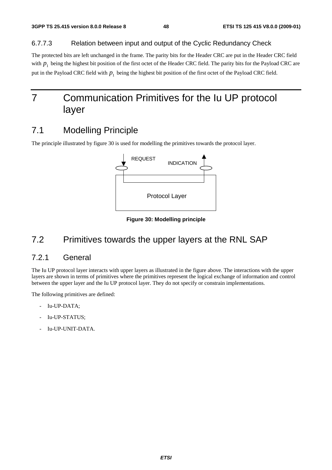### 6.7.7.3 Relation between input and output of the Cyclic Redundancy Check

The protected bits are left unchanged in the frame. The parity bits for the Header CRC are put in the Header CRC field with  $p_1$  being the highest bit position of the first octet of the Header CRC field. The parity bits for the Payload CRC are put in the Payload CRC field with  $p_1$  being the highest bit position of the first octet of the Payload CRC field.

# 7 Communication Primitives for the Iu UP protocol layer

# 7.1 Modelling Principle

The principle illustrated by figure 30 is used for modelling the primitives towards the protocol layer.



**Figure 30: Modelling principle** 

# 7.2 Primitives towards the upper layers at the RNL SAP

# 7.2.1 General

The Iu UP protocol layer interacts with upper layers as illustrated in the figure above*.* The interactions with the upper layers are shown in terms of primitives where the primitives represent the logical exchange of information and control between the upper layer and the Iu UP protocol layer. They do not specify or constrain implementations.

The following primitives are defined:

- Iu-UP-DATA:
- Iu-UP-STATUS;
- Iu-UP-UNIT-DATA.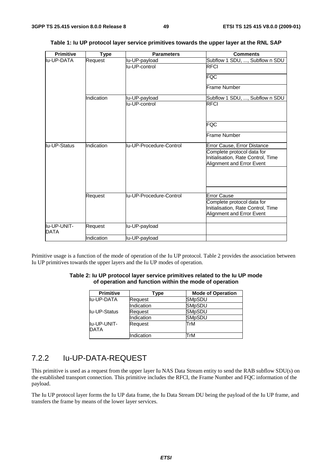| <b>Primitive</b>           | <b>Type</b> | <b>Parameters</b>       | <b>Comments</b>                                                                               |
|----------------------------|-------------|-------------------------|-----------------------------------------------------------------------------------------------|
| lu-UP-DATA                 | Request     | lu-UP-payload           | Subflow 1 SDU, , Subflow n SDU                                                                |
|                            |             | lu-UP-control           | <b>RFCI</b>                                                                                   |
|                            |             |                         | FQC                                                                                           |
|                            |             |                         | Frame Number                                                                                  |
|                            | Indication  | lu-UP-payload           | Subflow 1 SDU, , Subflow n SDU                                                                |
|                            |             | lu-UP-control           | <b>RFCI</b>                                                                                   |
|                            |             |                         | <b>FQC</b>                                                                                    |
|                            |             |                         | Frame Number                                                                                  |
| lu-UP-Status               | Indication  | lu-UP-Procedure-Control | Error Cause, Error Distance                                                                   |
|                            |             |                         | Complete protocol data for<br>Initialisation, Rate Control, Time<br>Alignment and Error Event |
|                            |             |                         |                                                                                               |
|                            | Request     | lu-UP-Procedure-Control | <b>Error Cause</b>                                                                            |
|                            |             |                         | Complete protocol data for                                                                    |
|                            |             |                         | Initialisation, Rate Control, Time                                                            |
|                            |             |                         | Alignment and Error Event                                                                     |
|                            |             |                         |                                                                                               |
| lu-UP-UNIT-<br><b>DATA</b> | Request     | lu-UP-payload           |                                                                                               |
|                            | Indication  | lu-UP-payload           |                                                                                               |

|  |  |  | Table 1: Iu UP protocol layer service primitives towards the upper layer at the RNL SAP |
|--|--|--|-----------------------------------------------------------------------------------------|
|--|--|--|-----------------------------------------------------------------------------------------|

Primitive usage is a function of the mode of operation of the Iu UP protocol. Table 2 provides the association between Iu UP primitives towards the upper layers and the Iu UP modes of operation.

#### **Table 2: Iu UP protocol layer service primitives related to the Iu UP mode of operation and function within the mode of operation**

| <b>Primitive</b>           | Type       | <b>Mode of Operation</b> |
|----------------------------|------------|--------------------------|
| lu-UP-DATA                 | Request    | <b>SMpSDU</b>            |
|                            | Indication | <b>SMpSDU</b>            |
| llu-UP-Status              | Request    | <b>SMpSDU</b>            |
|                            | Indication | <b>SMpSDU</b>            |
| lu-UP-UNIT-<br><b>DATA</b> | Request    | TrM                      |
|                            | Indication | TrM                      |

# 7.2.2 Iu-UP-DATA-REQUEST

This primitive is used as a request from the upper layer Iu NAS Data Stream entity to send the RAB subflow SDU(s) on the established transport connection. This primitive includes the RFCI, the Frame Number and FQC information of the payload.

The Iu UP protocol layer forms the Iu UP data frame, the Iu Data Stream DU being the payload of the Iu UP frame, and transfers the frame by means of the lower layer services.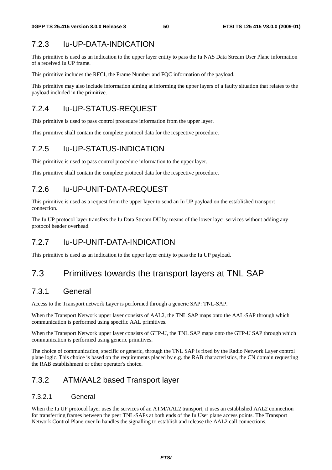# 7.2.3 Iu-UP-DATA-INDICATION

This primitive is used as an indication to the upper layer entity to pass the Iu NAS Data Stream User Plane information of a received Iu UP frame.

This primitive includes the RFCI, the Frame Number and FQC information of the payload.

This primitive may also include information aiming at informing the upper layers of a faulty situation that relates to the payload included in the primitive.

# 7.2.4 Iu-UP-STATUS-REQUEST

This primitive is used to pass control procedure information from the upper layer.

This primitive shall contain the complete protocol data for the respective procedure.

# 7.2.5 Iu-UP-STATUS-INDICATION

This primitive is used to pass control procedure information to the upper layer.

This primitive shall contain the complete protocol data for the respective procedure.

# 7.2.6 Iu-UP-UNIT-DATA-REQUEST

This primitive is used as a request from the upper layer to send an Iu UP payload on the established transport connection.

The Iu UP protocol layer transfers the Iu Data Stream DU by means of the lower layer services without adding any protocol header overhead.

# 7.2.7 Iu-UP-UNIT-DATA-INDICATION

This primitive is used as an indication to the upper layer entity to pass the Iu UP payload.

# 7.3 Primitives towards the transport layers at TNL SAP

# 7.3.1 General

Access to the Transport network Layer is performed through a generic SAP: TNL-SAP.

When the Transport Network upper layer consists of AAL2, the TNL SAP maps onto the AAL-SAP through which communication is performed using specific AAL primitives.

When the Transport Network upper layer consists of GTP-U, the TNL SAP maps onto the GTP-U SAP through which communication is performed using generic primitives.

The choice of communication, specific or generic, through the TNL SAP is fixed by the Radio Network Layer control plane logic. This choice is based on the requirements placed by e.g. the RAB characteristics, the CN domain requesting the RAB establishment or other operator's choice.

# 7.3.2 ATM/AAL2 based Transport layer

# 7.3.2.1 General

When the Iu UP protocol layer uses the services of an ATM/AAL2 transport, it uses an established AAL2 connection for transferring frames between the peer TNL-SAPs at both ends of the Iu User plane access points. The Transport Network Control Plane over Iu handles the signalling to establish and release the AAL2 call connections.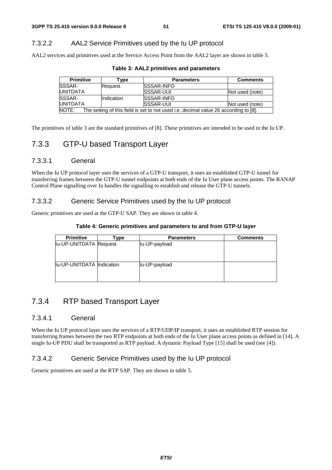# 7.3.2.2 AAL2 Service Primitives used by the Iu UP protocol

AAL2 services and primitives used at the Service Access Point from the AAL2 layer are shown in table 3.

| <b>Primitive</b>                                                                              | [ype              | <b>Parameters</b>  | <b>Comments</b> |  |
|-----------------------------------------------------------------------------------------------|-------------------|--------------------|-----------------|--|
| <b>ISSSAR-</b>                                                                                | Request           | <b>ISSSAR-INFO</b> |                 |  |
| <b>IUNITDATA</b>                                                                              |                   | <b>ISSSAR-UUI</b>  | Not used (note) |  |
| <b>SSSAR-</b>                                                                                 | <b>Indication</b> | <b>ISSSAR-INFO</b> |                 |  |
| <b>IUNITDATA</b>                                                                              |                   | <b>SSSAR-UUI</b>   | Not used (note) |  |
| NOTE:<br>The setting of this field is set to not used i.e. decimal value 26 according to [8]. |                   |                    |                 |  |

| Table 3: AAL2 primitives and parameters |  |  |  |  |  |  |
|-----------------------------------------|--|--|--|--|--|--|
|-----------------------------------------|--|--|--|--|--|--|

The primitives of table 3 are the standard primitives of [8]. These primitives are intended to be used in the Iu UP.

# 7.3.3 GTP-U based Transport Layer

### 7.3.3.1 General

When the Iu UP protocol layer uses the services of a GTP-U transport, it uses an established GTP-U tunnel for transferring frames between the GTP-U tunnel endpoints at both ends of the Iu User plane access points. The RANAP Control Plane signalling over Iu handles the signalling to establish and release the GTP-U tunnels.

### 7.3.3.2 Generic Service Primitives used by the Iu UP protocol

Generic primitives are used at the GTP-U SAP. They are shown in table 4.

#### **Table 4: Generic primitives and parameters to and from GTP-U layer**

| <b>Primitive</b>          | ⊺vpe | <b>Parameters</b> | <b>Comments</b> |
|---------------------------|------|-------------------|-----------------|
| lu-UP-UNITDATA Request    |      | lu-UP-payload     |                 |
|                           |      |                   |                 |
|                           |      |                   |                 |
| lu-UP-UNITDATA Indication |      | lu-UP-payload     |                 |
|                           |      |                   |                 |
|                           |      |                   |                 |

# 7.3.4 RTP based Transport Layer

### 7.3.4.1 General

When the Iu UP protocol layer uses the services of a RTP/UDP/IP transport, it uses an established RTP session for transferring frames between the two RTP endpoints at both ends of the Iu User plane access points as defined in [14]. A single Iu-UP PDU shall be transported as RTP payload. A dynamic Payload Type [15] shall be used (see [4]).

### 7.3.4.2 Generic Service Primitives used by the Iu UP protocol

Generic primitives are used at the RTP SAP. They are shown in table 5.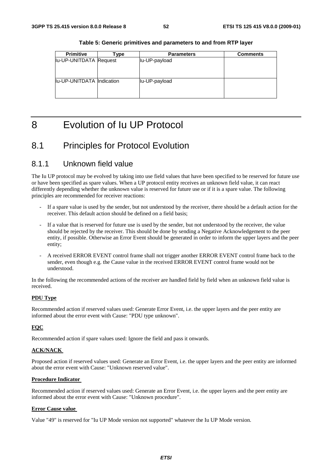| <b>Primitive</b>          | Type | <b>Parameters</b> | <b>Comments</b> |
|---------------------------|------|-------------------|-----------------|
| lu-UP-UNITDATA Request    |      | lu-UP-payload     |                 |
|                           |      |                   |                 |
|                           |      |                   |                 |
|                           |      |                   |                 |
| lu-UP-UNITDATA Indication |      | lu-UP-payload     |                 |
|                           |      |                   |                 |
|                           |      |                   |                 |
|                           |      |                   |                 |

**Table 5: Generic primitives and parameters to and from RTP layer** 

# 8 Evolution of Iu UP Protocol

# 8.1 Principles for Protocol Evolution

# 8.1.1 Unknown field value

The Iu UP protocol may be evolved by taking into use field values that have been specified to be reserved for future use or have been specified as spare values. When a UP protocol entity receives an unknown field value, it can react differently depending whether the unknown value is reserved for future use or if it is a spare value. The following principles are recommended for receiver reactions:

- If a spare value is used by the sender, but not understood by the receiver, there should be a default action for the receiver. This default action should be defined on a field basis;
- If a value that is reserved for future use is used by the sender, but not understood by the receiver, the value should be rejected by the receiver. This should be done by sending a Negative Acknowledgement to the peer entity, if possible. Otherwise an Error Event should be generated in order to inform the upper layers and the peer entity;
- A received ERROR EVENT control frame shall not trigger another ERROR EVENT control frame back to the sender, even though e.g. the Cause value in the received ERROR EVENT control frame would not be understood.

In the following the recommended actions of the receiver are handled field by field when an unknown field value is received.

#### **PDU Type**

Recommended action if reserved values used: Generate Error Event, i.e. the upper layers and the peer entity are informed about the error event with Cause: "PDU type unknown".

#### **FQC**

Recommended action if spare values used: Ignore the field and pass it onwards.

#### **ACK/NACK**

Proposed action if reserved values used: Generate an Error Event, i.e. the upper layers and the peer entity are informed about the error event with Cause: "Unknown reserved value".

#### **Procedure Indicator**

Recommended action if reserved values used: Generate an Error Event, i.e. the upper layers and the peer entity are informed about the error event with Cause: "Unknown procedure".

#### **Error Cause value**

Value "49" is reserved for "Iu UP Mode version not supported" whatever the Iu UP Mode version.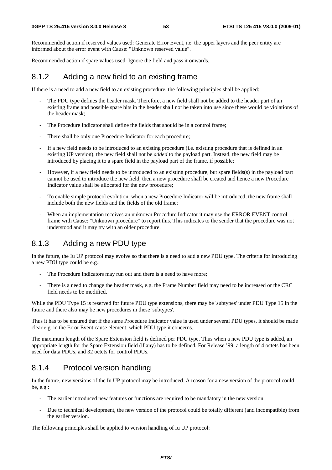Recommended action if reserved values used: Generate Error Event, i.e. the upper layers and the peer entity are informed about the error event with Cause: "Unknown reserved value".

Recommended action if spare values used: Ignore the field and pass it onwards.

# 8.1.2 Adding a new field to an existing frame

If there is a need to add a new field to an existing procedure, the following principles shall be applied:

- The PDU type defines the header mask. Therefore, a new field shall not be added to the header part of an existing frame and possible spare bits in the header shall not be taken into use since these would be violations of the header mask;
- The Procedure Indicator shall define the fields that should be in a control frame;
- There shall be only one Procedure Indicator for each procedure;
- If a new field needs to be introduced to an existing procedure (i.e. existing procedure that is defined in an existing UP version), the new field shall not be *added* to the payload part. Instead, the new field may be introduced by placing it to a spare field in the payload part of the frame, if possible;
- However, if a new field needs to be introduced to an existing procedure, but spare fields(s) in the payload part cannot be used to introduce the new field, then a new procedure shall be created and hence a new Procedure Indicator value shall be allocated for the new procedure;
- To enable simple protocol evolution, when a new Procedure Indicator will be introduced, the new frame shall include both the new fields and the fields of the old frame;
- When an implementation receives an unknown Procedure Indicator it may use the ERROR EVENT control frame with Cause: "Unknown procedure" to report this. This indicates to the sender that the procedure was not understood and it may try with an older procedure.

# 8.1.3 Adding a new PDU type

In the future, the Iu UP protocol may evolve so that there is a need to add a new PDU type. The criteria for introducing a new PDU type could be e.g.:

- The Procedure Indicators may run out and there is a need to have more;
- There is a need to change the header mask, e.g. the Frame Number field may need to be increased or the CRC field needs to be modified.

While the PDU Type 15 is reserved for future PDU type extensions, there may be 'subtypes' under PDU Type 15 in the future and there also may be new procedures in these 'subtypes'.

Thus it has to be ensured that if the same Procedure Indicator value is used under several PDU types, it should be made clear e.g. in the Error Event cause element, which PDU type it concerns.

The maximum length of the Spare Extension field is defined per PDU type. Thus when a new PDU type is added, an appropriate length for the Spare Extension field (if any) has to be defined. For Release '99, a length of 4 octets has been used for data PDUs, and 32 octets for control PDUs.

# 8.1.4 Protocol version handling

In the future, new versions of the Iu UP protocol may be introduced. A reason for a new version of the protocol could be, e.g.:

- The earlier introduced new features or functions are required to be mandatory in the new version;
- Due to technical development, the new version of the protocol could be totally different (and incompatible) from the earlier version.

The following principles shall be applied to version handling of Iu UP protocol: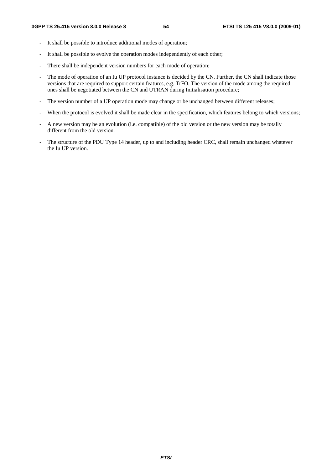- It shall be possible to introduce additional modes of operation;
- It shall be possible to evolve the operation modes independently of each other;
- There shall be independent version numbers for each mode of operation;
- The mode of operation of an Iu UP protocol instance is decided by the CN. Further, the CN shall indicate those versions that are required to support certain features, e.g. TrFO. The version of the mode among the required ones shall be negotiated between the CN and UTRAN during Initialisation procedure;
- The version number of a UP operation mode may change or be unchanged between different releases;
- When the protocol is evolved it shall be made clear in the specification, which features belong to which versions;
- A new version may be an evolution (i.e. compatible) of the old version or the new version may be totally different from the old version.
- The structure of the PDU Type 14 header, up to and including header CRC, shall remain unchanged whatever the Iu UP version.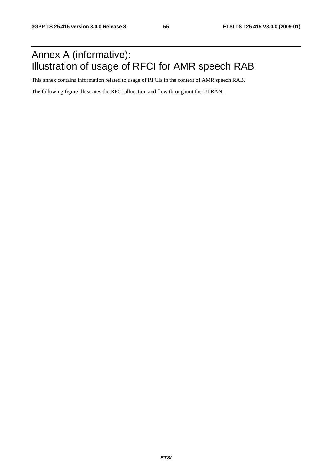# Annex A (informative): Illustration of usage of RFCI for AMR speech RAB

This annex contains information related to usage of RFCIs in the context of AMR speech RAB.

The following figure illustrates the RFCI allocation and flow throughout the UTRAN.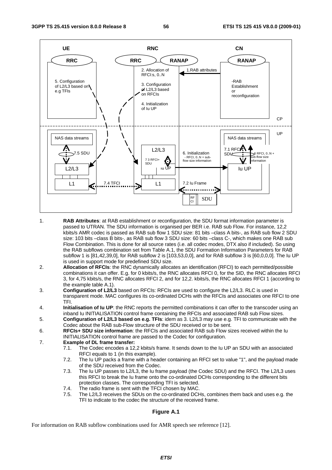

- 1. **RAB Attributes**: at RAB establishment or reconfiguration, the SDU format information parameter is passed to UTRAN. The SDU information is organised per BER i.e. RAB sub Flow. For instance, 12,2 kbits/s AMR codec is passed as RAB sub flow 1 SDU size: 81 bits –class A bits-, as RAB sub flow 2 SDU size: 103 bits –class B bits-, as RAB sub flow 3 SDU size: 60 bits –class C-, which makes one RAB sub Flow Combination. This is done for all source rates (i.e. all codec modes, DTX also if included). So using the RAB subflows combination set from Table A.1, the SDU Formation Information Parameters for RAB subflow 1 is [81,42,39,0], for RAB subflow 2 is [103,53,0,0], and for RAB subflow 3 is [60,0,0,0]. The Iu UP is used in support mode for predefined SDU size.
- 2. **Allocation of RFCIs**: the RNC dynamically allocates an identification (RFCI) to each permitted/possible combinations it can offer. E.g. for 0 kbits/s, the RNC allocates RFCI 0, for the SID, the RNC allocates RFCI 3, for 4,75 kbits/s, the RNC allocates RFCI 2, and for 12,2. kbits/s, the RNC allocates RFCI 1 (according to the example table A.1).
- 3. **Configuration of L2/L3** based on RFCIs: RFCIs are used to configure the L2/L3. RLC is used in transparent mode. MAC configures its co-ordinated DCHs with the RFCIs and associates one RFCI to one TFI.
- 4. **Initialisation of Iu UP**: the RNC reports the permitted combinations it can offer to the transcoder using an inband Iu INITIALISATION control frame containing the RFCIs and associated RAB sub Flow sizes.
- 5. **Configuration of L2/L3 based on e.g. TFIs**: idem as 3. L2/L3 may use e.g. TFI to communicate with the Codec about the RAB sub-Flow structure of the SDU received or to be sent.
- 6. **RFCIs+ SDU size information**: the RFCIs and associated RAB sub Flow sizes received within the Iu INITIALISATION control frame are passed to the Codec for configuration.
- 7. **Example of DL frame transfer:** 
	- 7.1. The Codec encodes a 12,2 kbits/s frame. It sends down to the Iu UP an SDU with an associated RFCI equals to 1 (in this example).<br>7.2. The Iu UP packs a frame with a he
	- The Iu UP packs a frame with a header containing an RFCI set to value "1", and the payload made of the SDU received from the Codec.<br>7.3. The Ju UP passes to L2/L3, the Ju frain-
	- The Iu UP passes to L2/L3, the Iu frame payload (the Codec SDU) and the RFCI. The L2/L3 uses this RFCI to break the Iu frame onto the co-ordinated DCHs corresponding to the different bits protection classes. The corresponding TFI is selected.
	- 7.4. The radio frame is sent with the TFCI chosen by MAC.
	- 7.5. The L2/L3 receives the SDUs on the co-ordinated DCHs, combines them back and uses e.g. the TFI to indicate to the codec the structure of the received frame.

### **Figure A.1**

For information on RAB subflow combinations used for AMR speech see reference [12].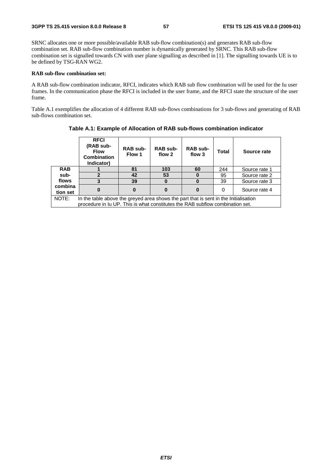SRNC allocates one or more possible/available RAB sub-flow combination(s) and generates RAB sub-flow combination set. RAB sub-flow combination number is dynamically generated by SRNC. This RAB sub-flow combination set is signalled towards CN with user plane signalling as described in [1]. The signalling towards UE is to be defined by TSG-RAN WG2.

#### **RAB sub-flow combination set:**

A RAB sub-flow combination indicator, RFCI, indicates which RAB sub flow combination will be used for the Iu user frames. In the communication phase the RFCI is included in the user frame, and the RFCI state the structure of the user frame.

Table A.1 exemplifies the allocation of 4 different RAB sub-flows combinations for 3 sub-flows and generating of RAB sub-flows combination set.

|                                                                               | <b>RFCI</b><br>(RAB sub-<br><b>Flow</b><br><b>Combination</b><br>Indicator)          | RAB sub-<br>Flow 1                    | <b>RAB sub-</b><br>flow 2 | <b>RAB sub-</b><br>flow 3 | Total    | Source rate   |  |  |
|-------------------------------------------------------------------------------|--------------------------------------------------------------------------------------|---------------------------------------|---------------------------|---------------------------|----------|---------------|--|--|
| <b>RAB</b>                                                                    |                                                                                      | 81                                    | 103                       | 60                        | 244      | Source rate 1 |  |  |
| sub-                                                                          | 2                                                                                    | 53<br>95<br>Source rate 2<br>42       |                           |                           |          |               |  |  |
| flows                                                                         |                                                                                      | 39<br>39<br>$\bf{0}$<br>Source rate 3 |                           |                           |          |               |  |  |
| combina<br>tion set                                                           |                                                                                      |                                       |                           |                           | $\Omega$ | Source rate 4 |  |  |
| NOTE:                                                                         | In the table above the greyed area shows the part that is sent in the Initialisation |                                       |                           |                           |          |               |  |  |
| procedure in Iu UP. This is what constitutes the RAB subflow combination set. |                                                                                      |                                       |                           |                           |          |               |  |  |

**Table A.1: Example of Allocation of RAB sub-flows combination indicator**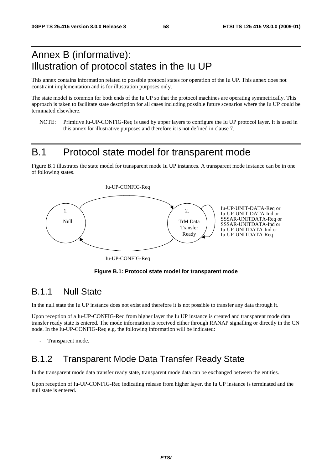# Annex B (informative): Illustration of protocol states in the Iu UP

This annex contains information related to possible protocol states for operation of the Iu UP. This annex does not constraint implementation and is for illustration purposes only.

The state model is common for both ends of the Iu UP so that the protocol machines are operating symmetrically. This approach is taken to facilitate state description for all cases including possible future scenarios where the Iu UP could be terminated elsewhere.

NOTE: Primitive Iu-UP-CONFIG-Req is used by upper layers to configure the Iu UP protocol layer. It is used in this annex for illustrative purposes and therefore it is not defined in clause 7.

# B.1 Protocol state model for transparent mode

Figure B.1 illustrates the state model for transparent mode Iu UP instances. A transparent mode instance can be in one of following states.



Iu-UP-CONFIG-Req



# B.1.1 Null State

In the null state the Iu UP instance does not exist and therefore it is not possible to transfer any data through it.

Upon reception of a Iu-UP-CONFIG-Req from higher layer the Iu UP instance is created and transparent mode data transfer ready state is entered. The mode information is received either through RANAP signalling or directly in the CN node. In the Iu-UP-CONFIG-Req e.g. the following information will be indicated:

Transparent mode.

# B.1.2 Transparent Mode Data Transfer Ready State

In the transparent mode data transfer ready state, transparent mode data can be exchanged between the entities.

Upon reception of Iu-UP-CONFIG-Req indicating release from higher layer, the Iu UP instance is terminated and the null state is entered.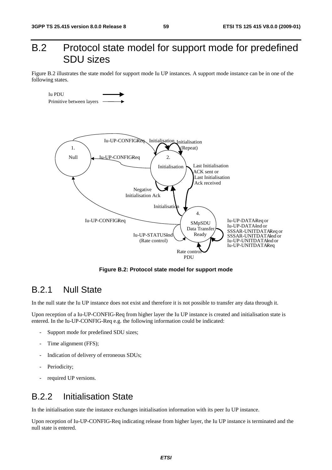# B.2 Protocol state model for support mode for predefined SDU sizes

Figure B.2 illustrates the state model for support mode Iu UP instances. A support mode instance can be in one of the following states.



**Figure B.2: Protocol state model for support mode** 

# B.2.1 Null State

In the null state the Iu UP instance does not exist and therefore it is not possible to transfer any data through it.

Upon reception of a Iu-UP-CONFIG-Req from higher layer the Iu UP instance is created and initialisation state is entered. In the Iu-UP-CONFIG-Req e.g. the following information could be indicated:

- Support mode for predefined SDU sizes;
- Time alignment (FFS);
- Indication of delivery of erroneous SDUs;
- Periodicity:
- required UP versions.

# B.2.2 Initialisation State

In the initialisation state the instance exchanges initialisation information with its peer Iu UP instance.

Upon reception of Iu-UP-CONFIG-Req indicating release from higher layer, the Iu UP instance is terminated and the null state is entered.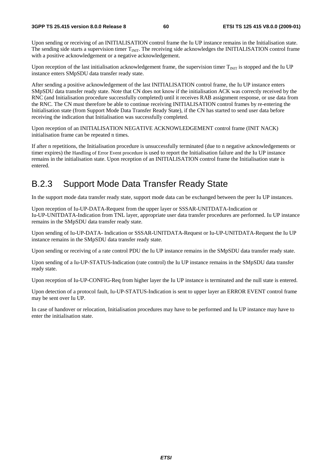Upon sending or receiving of an INITIALISATION control frame the Iu UP instance remains in the Initialisation state. The sending side starts a supervision timer  $T_{\text{NIT}}$ . The receiving side acknowledges the INITIALISATION control frame with a positive acknowledgement or a negative acknowledgement.

Upon reception of the last initialisation acknowledgement frame, the supervision timer  $T_{\text{INIT}}$  is stopped and the Iu UP instance enters SMpSDU data transfer ready state.

After sending a positive acknowledgement of the last INITIALISATION control frame, the Iu UP instance enters SMpSDU data transfer ready state. Note that CN does not know if the initialisation ACK was correctly received by the RNC (and Initialisation procedure successfully completed) until it receives RAB assignment response, or use data from the RNC. The CN must therefore be able to continue receiving INITIALISATION control frames by re-entering the Initialisation state (from Support Mode Data Transfer Ready State), if the CN has started to send user data before receiving the indication that Initialisation was successfully completed.

Upon reception of an INITIALISATION NEGATIVE ACKNOWLEDGEMENT control frame (INIT NACK) initialisation frame can be repeated n times.

If after n repetitions, the Initialisation procedure is unsuccessfully terminated (due to n negative acknowledgements or timer expires) the Handling of Error Event procedure is used to report the Initialisation failure and the Iu UP instance remains in the initialisation state. Upon reception of an INITIALISATION control frame the Initialisation state is entered.

# B.2.3 Support Mode Data Transfer Ready State

In the support mode data transfer ready state, support mode data can be exchanged between the peer Iu UP instances.

Upon reception of Iu-UP-DATA-Request from the upper layer or SSSAR-UNITDATA-Indication or Iu-UP-UNITDATA-Indication from TNL layer, appropriate user data transfer procedures are performed. Iu UP instance remains in the SMpSDU data transfer ready state.

Upon sending of Iu-UP-DATA- Indication or SSSAR-UNITDATA-Request or Iu-UP-UNITDATA-Request the Iu UP instance remains in the SMpSDU data transfer ready state.

Upon sending or receiving of a rate control PDU the Iu UP instance remains in the SMpSDU data transfer ready state.

Upon sending of a Iu-UP-STATUS-Indication (rate control) the Iu UP instance remains in the SMpSDU data transfer ready state.

Upon reception of Iu-UP-CONFIG-Req from higher layer the Iu UP instance is terminated and the null state is entered.

Upon detection of a protocol fault, Iu-UP-STATUS-Indication is sent to upper layer an ERROR EVENT control frame may be sent over Iu UP.

In case of handover or relocation, Initialisation procedures may have to be performed and Iu UP instance may have to enter the initialisation state.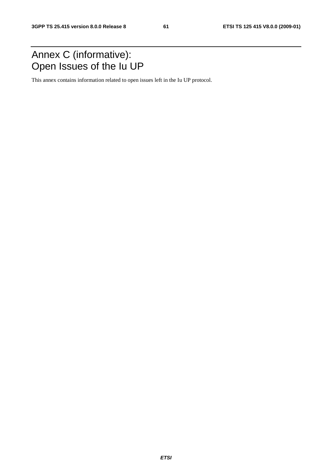# Annex C (informative): Open Issues of the Iu UP

This annex contains information related to open issues left in the Iu UP protocol.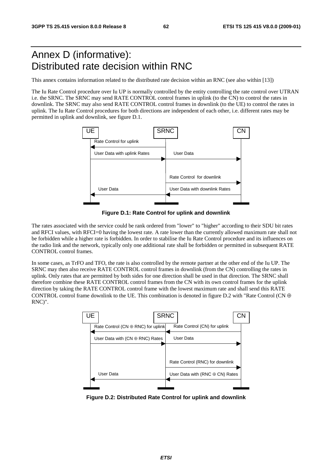# Annex D (informative): Distributed rate decision within RNC

This annex contains information related to the distributed rate decision within an RNC (see also within [13])

The Iu Rate Control procedure over Iu UP is normally controlled by the entity controlling the rate control over UTRAN i.e. the SRNC. The SRNC may send RATE CONTROL control frames in uplink (to the CN) to control the rates in downlink. The SRNC may also send RATE CONTROL control frames in downlink (to the UE) to control the rates in uplink. The Iu Rate Control procedures for both directions are independent of each other, i.e. different rates may be permitted in uplink and downlink, see figure D.1.



**Figure D.1: Rate Control for uplink and downlink** 

The rates associated with the service could be rank ordered from "lower" to "higher" according to their SDU bit rates and RFCI values, with RFCI=0 having the lowest rate. A rate lower than the currently allowed maximum rate shall not be forbidden while a higher rate is forbidden. In order to stabilise the Iu Rate Control procedure and its influences on the radio link and the network, typically only one additional rate shall be forbidden or permitted in subsequent RATE CONTROL control frames.

In some cases, as TrFO and TFO, the rate is also controlled by the remote partner at the other end of the Iu UP. The SRNC may then also receive RATE CONTROL control frames in downlink (from the CN) controlling the rates in uplink. Only rates that are permitted by both sides for one direction shall be used in that direction. The SRNC shall therefore combine these RATE CONTROL control frames from the CN with its own control frames for the uplink direction by taking the RATE CONTROL control frame with the lowest maximum rate and shall send this RATE CONTROL control frame downlink to the UE. This combination is denoted in figure D.2 with "Rate Control (CN  $\oplus$ RNC)".



**Figure D.2: Distributed Rate Control for uplink and downlink**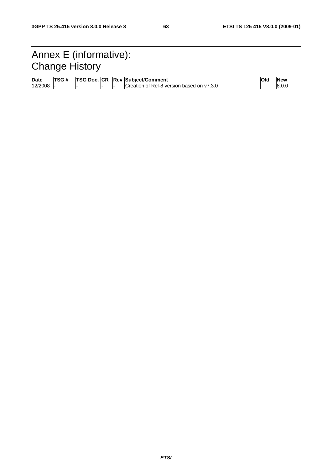# Annex E (informative): Change History

| Date    | <b>TSG#</b><br>π | TSG Doc. | <b>ICP</b> | <b>Rev Subiect/Comment</b>                           | Olo | <b>New</b> |
|---------|------------------|----------|------------|------------------------------------------------------|-----|------------|
| 12/2008 |                  |          |            | f Rel-8 version based on v7.3.0<br>√Creation<br>. ot |     | ∟.8.0      |